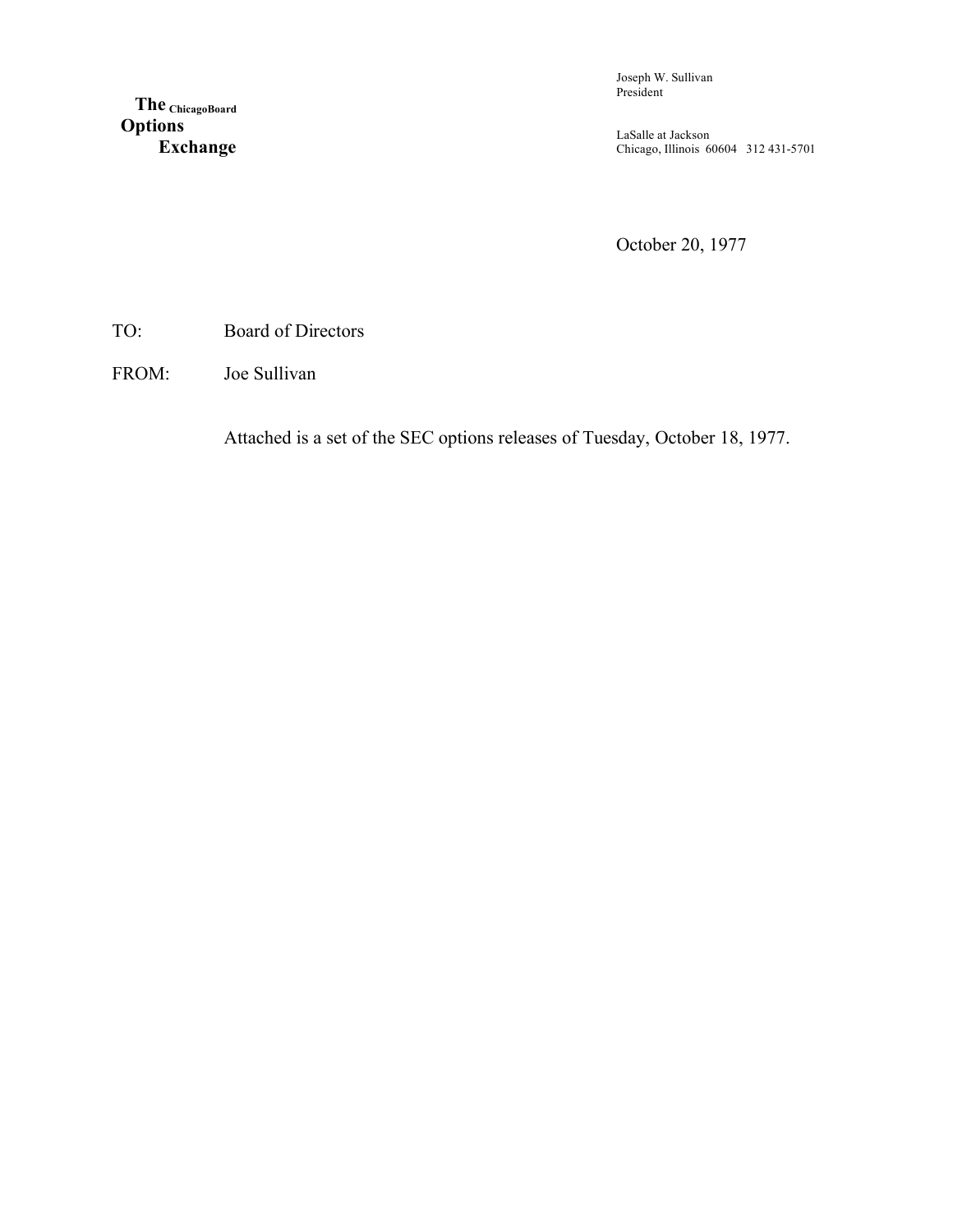**The ChicagoBoard Options Exchange** Joseph W. Sullivan President

LaSalle at Jackson Chicago, Illinois 60604 312 431-5701

October 20, 1977

TO: Board of Directors

FROM: Joe Sullivan

Attached is a set of the SEC options releases of Tuesday, October 18, 1977.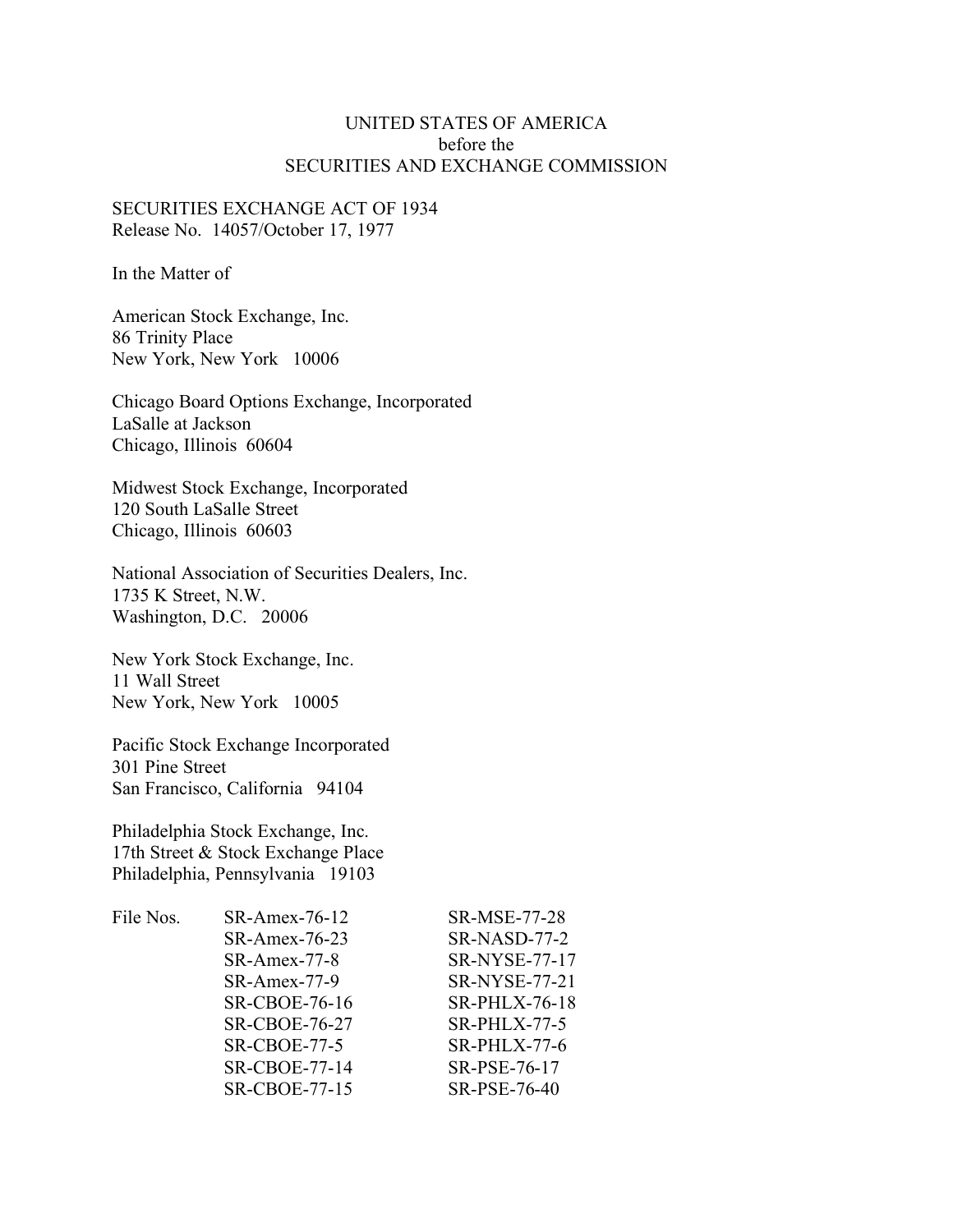# UNITED STATES OF AMERICA before the SECURITIES AND EXCHANGE COMMISSION

# SECURITIES EXCHANGE ACT OF 1934 Release No. 14057/October 17, 1977

In the Matter of

American Stock Exchange, Inc. 86 Trinity Place New York, New York 10006

Chicago Board Options Exchange, Incorporated LaSalle at Jackson Chicago, Illinois 60604

Midwest Stock Exchange, Incorporated 120 South LaSalle Street Chicago, Illinois 60603

National Association of Securities Dealers, Inc. 1735 K Street, N.W. Washington, D.C. 20006

New York Stock Exchange, Inc. 11 Wall Street New York, New York 10005

Pacific Stock Exchange Incorporated 301 Pine Street San Francisco, California 94104

Philadelphia Stock Exchange, Inc. 17th Street & Stock Exchange Place Philadelphia, Pennsylvania 19103

| File Nos. | SR-Amex-76-12        | SR-MSE-77-28         |
|-----------|----------------------|----------------------|
|           | SR-Amex-76-23        | SR-NASD-77-2         |
|           | SR-Amex-77-8         | <b>SR-NYSE-77-17</b> |
|           | SR-Amex-77-9         | SR-NYSE-77-21        |
|           | <b>SR-CBOE-76-16</b> | <b>SR-PHLX-76-18</b> |
|           | <b>SR-CBOE-76-27</b> | $SR$ -PHLX-77-5      |
|           | <b>SR-CBOE-77-5</b>  | $SR-PHLX-77-6$       |
|           | <b>SR-CBOE-77-14</b> | SR-PSE-76-17         |
|           | <b>SR-CBOE-77-15</b> | SR-PSE-76-40         |
|           |                      |                      |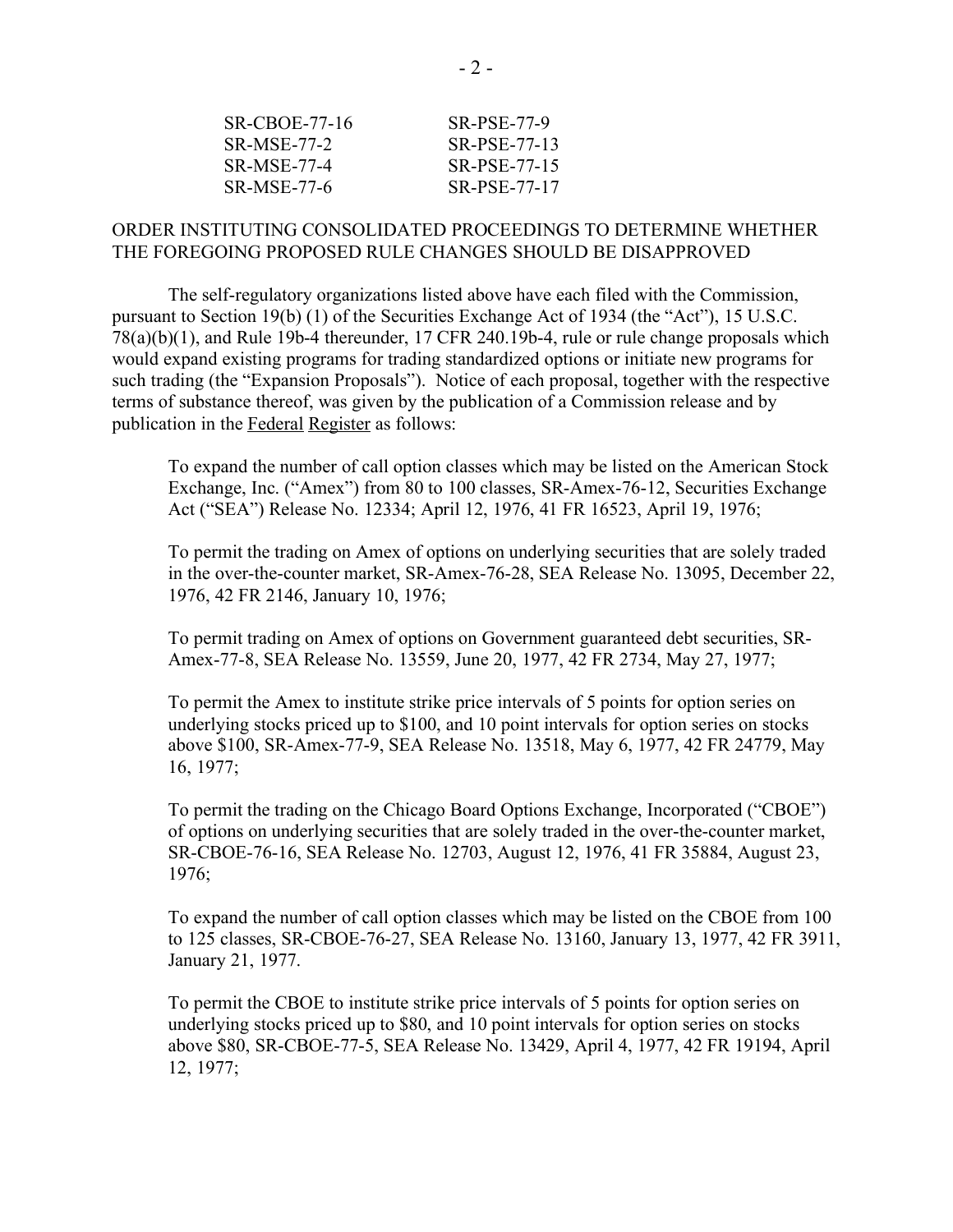| SR-CBOE-77-16      | SR-PSE-77-9         |
|--------------------|---------------------|
| <b>SR-MSE-77-2</b> | SR-PSE-77-13        |
| <b>SR-MSE-77-4</b> | SR-PSE-77-15        |
| <b>SR-MSE-77-6</b> | <b>SR-PSE-77-17</b> |

# ORDER INSTITUTING CONSOLIDATED PROCEEDINGS TO DETERMINE WHETHER THE FOREGOING PROPOSED RULE CHANGES SHOULD BE DISAPPROVED

The self-regulatory organizations listed above have each filed with the Commission, pursuant to Section 19(b) (1) of the Securities Exchange Act of 1934 (the "Act"), 15 U.S.C. 78(a)(b)(1), and Rule 19b-4 thereunder, 17 CFR 240.19b-4, rule or rule change proposals which would expand existing programs for trading standardized options or initiate new programs for such trading (the "Expansion Proposals"). Notice of each proposal, together with the respective terms of substance thereof, was given by the publication of a Commission release and by publication in the Federal Register as follows:

To expand the number of call option classes which may be listed on the American Stock Exchange, Inc. ("Amex") from 80 to 100 classes, SR-Amex-76-12, Securities Exchange Act ("SEA") Release No. 12334; April 12, 1976, 41 FR 16523, April 19, 1976;

To permit the trading on Amex of options on underlying securities that are solely traded in the over-the-counter market, SR-Amex-76-28, SEA Release No. 13095, December 22, 1976, 42 FR 2146, January 10, 1976;

To permit trading on Amex of options on Government guaranteed debt securities, SR-Amex-77-8, SEA Release No. 13559, June 20, 1977, 42 FR 2734, May 27, 1977;

To permit the Amex to institute strike price intervals of 5 points for option series on underlying stocks priced up to \$100, and 10 point intervals for option series on stocks above \$100, SR-Amex-77-9, SEA Release No. 13518, May 6, 1977, 42 FR 24779, May 16, 1977;

To permit the trading on the Chicago Board Options Exchange, Incorporated ("CBOE") of options on underlying securities that are solely traded in the over-the-counter market, SR-CBOE-76-16, SEA Release No. 12703, August 12, 1976, 41 FR 35884, August 23, 1976;

To expand the number of call option classes which may be listed on the CBOE from 100 to 125 classes, SR-CBOE-76-27, SEA Release No. 13160, January 13, 1977, 42 FR 3911, January 21, 1977.

To permit the CBOE to institute strike price intervals of 5 points for option series on underlying stocks priced up to \$80, and 10 point intervals for option series on stocks above \$80, SR-CBOE-77-5, SEA Release No. 13429, April 4, 1977, 42 FR 19194, April 12, 1977;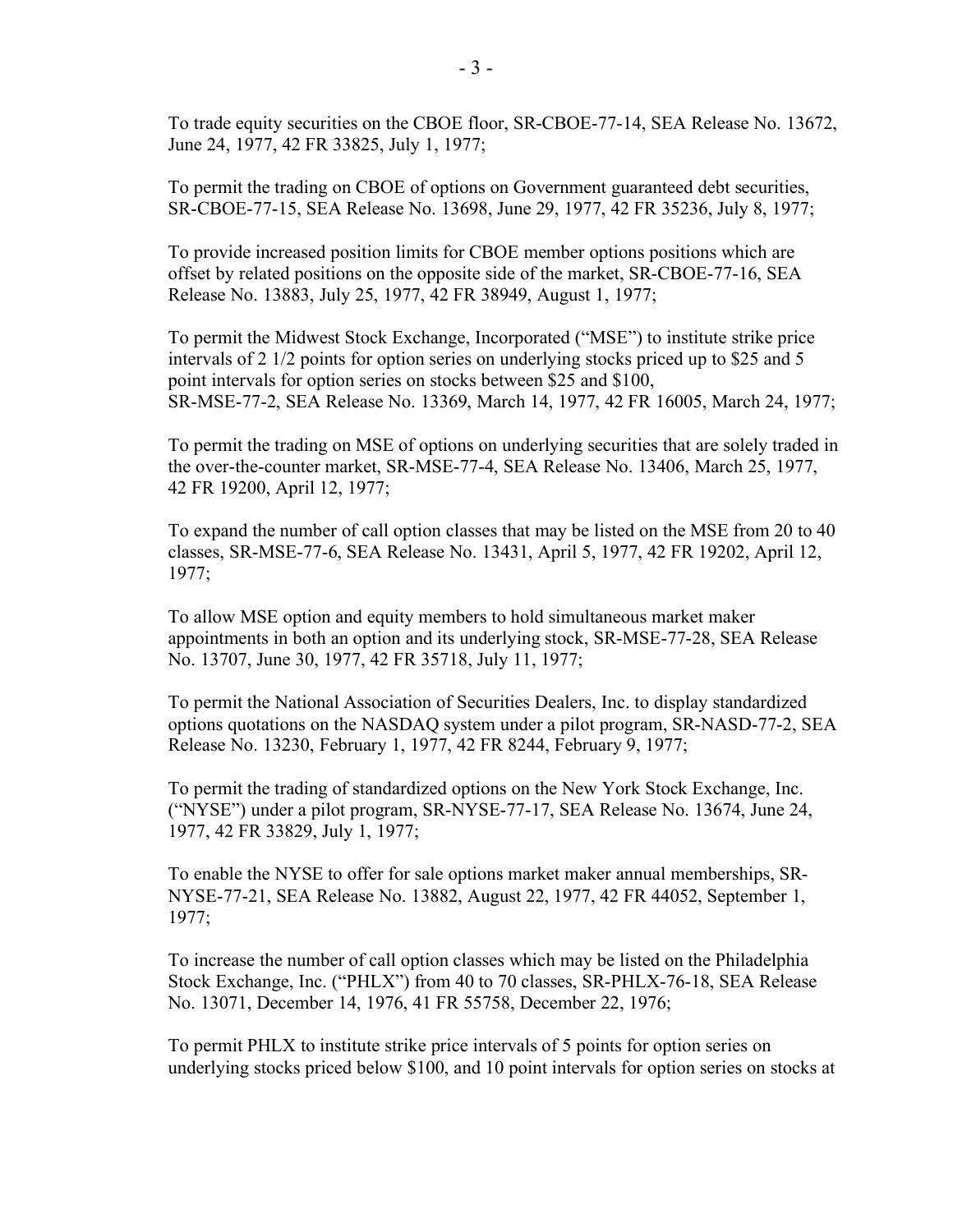To trade equity securities on the CBOE floor, SR-CBOE-77-14, SEA Release No. 13672, June 24, 1977, 42 FR 33825, July 1, 1977;

To permit the trading on CBOE of options on Government guaranteed debt securities, SR-CBOE-77-15, SEA Release No. 13698, June 29, 1977, 42 FR 35236, July 8, 1977;

To provide increased position limits for CBOE member options positions which are offset by related positions on the opposite side of the market, SR-CBOE-77-16, SEA Release No. 13883, July 25, 1977, 42 FR 38949, August 1, 1977;

To permit the Midwest Stock Exchange, Incorporated ("MSE") to institute strike price intervals of 2 1/2 points for option series on underlying stocks priced up to \$25 and 5 point intervals for option series on stocks between \$25 and \$100, SR-MSE-77-2, SEA Release No. 13369, March 14, 1977, 42 FR 16005, March 24, 1977;

To permit the trading on MSE of options on underlying securities that are solely traded in the over-the-counter market, SR-MSE-77-4, SEA Release No. 13406, March 25, 1977, 42 FR 19200, April 12, 1977;

To expand the number of call option classes that may be listed on the MSE from 20 to 40 classes, SR-MSE-77-6, SEA Release No. 13431, April 5, 1977, 42 FR 19202, April 12, 1977;

To allow MSE option and equity members to hold simultaneous market maker appointments in both an option and its underlying stock, SR-MSE-77-28, SEA Release No. 13707, June 30, 1977, 42 FR 35718, July 11, 1977;

To permit the National Association of Securities Dealers, Inc. to display standardized options quotations on the NASDAQ system under a pilot program, SR-NASD-77-2, SEA Release No. 13230, February 1, 1977, 42 FR 8244, February 9, 1977;

To permit the trading of standardized options on the New York Stock Exchange, Inc. ("NYSE") under a pilot program, SR-NYSE-77-17, SEA Release No. 13674, June 24, 1977, 42 FR 33829, July 1, 1977;

To enable the NYSE to offer for sale options market maker annual memberships, SR-NYSE-77-21, SEA Release No. 13882, August 22, 1977, 42 FR 44052, September 1, 1977;

To increase the number of call option classes which may be listed on the Philadelphia Stock Exchange, Inc. ("PHLX") from 40 to 70 classes, SR-PHLX-76-18, SEA Release No. 13071, December 14, 1976, 41 FR 55758, December 22, 1976;

To permit PHLX to institute strike price intervals of 5 points for option series on underlying stocks priced below \$100, and 10 point intervals for option series on stocks at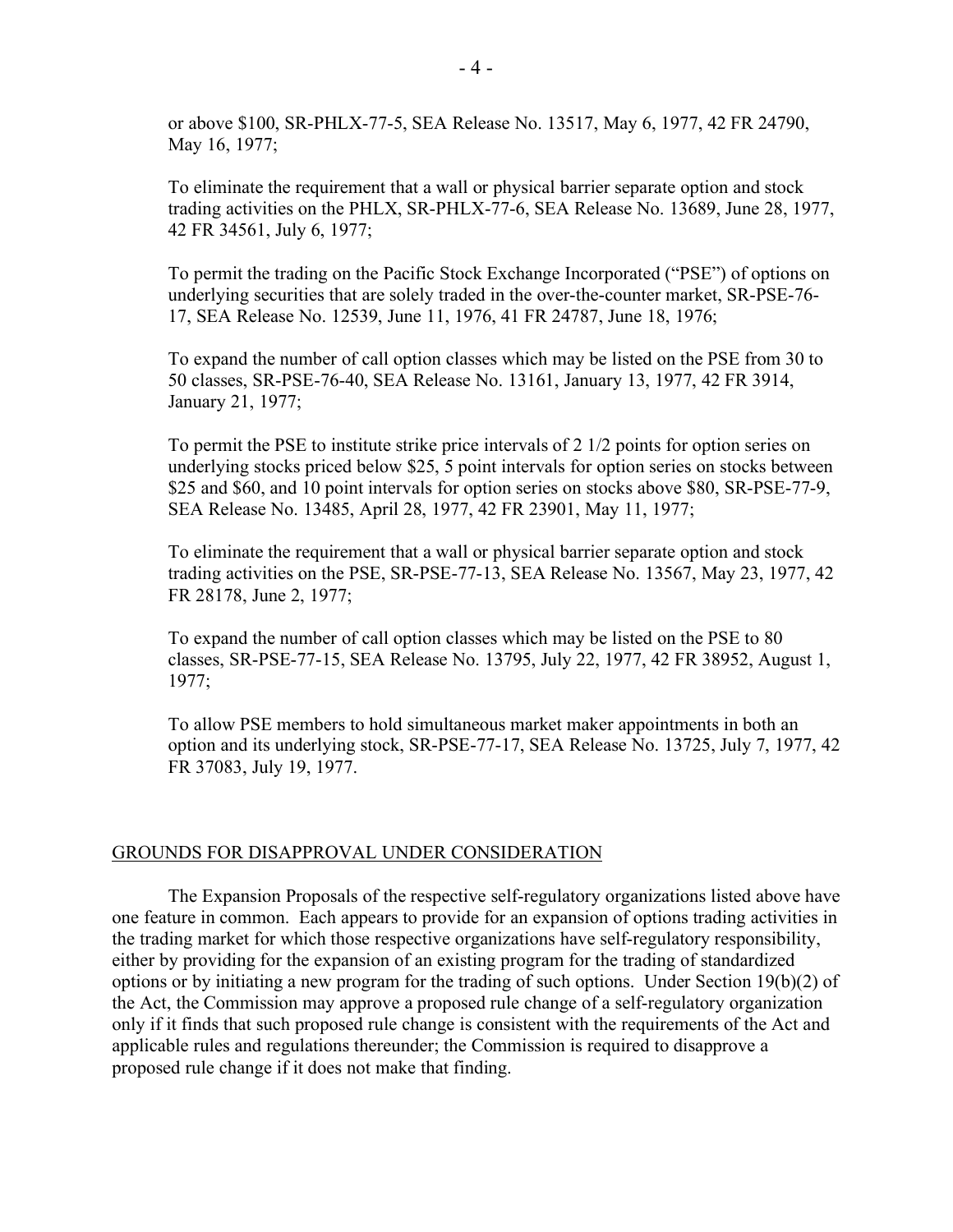or above \$100, SR-PHLX-77-5, SEA Release No. 13517, May 6, 1977, 42 FR 24790, May 16, 1977;

To eliminate the requirement that a wall or physical barrier separate option and stock trading activities on the PHLX, SR-PHLX-77-6, SEA Release No. 13689, June 28, 1977, 42 FR 34561, July 6, 1977;

To permit the trading on the Pacific Stock Exchange Incorporated ("PSE") of options on underlying securities that are solely traded in the over-the-counter market, SR-PSE-76- 17, SEA Release No. 12539, June 11, 1976, 41 FR 24787, June 18, 1976;

To expand the number of call option classes which may be listed on the PSE from 30 to 50 classes, SR-PSE-76-40, SEA Release No. 13161, January 13, 1977, 42 FR 3914, January 21, 1977;

To permit the PSE to institute strike price intervals of 2 1/2 points for option series on underlying stocks priced below \$25, 5 point intervals for option series on stocks between \$25 and \$60, and 10 point intervals for option series on stocks above \$80, SR-PSE-77-9, SEA Release No. 13485, April 28, 1977, 42 FR 23901, May 11, 1977;

To eliminate the requirement that a wall or physical barrier separate option and stock trading activities on the PSE, SR-PSE-77-13, SEA Release No. 13567, May 23, 1977, 42 FR 28178, June 2, 1977;

To expand the number of call option classes which may be listed on the PSE to 80 classes, SR-PSE-77-15, SEA Release No. 13795, July 22, 1977, 42 FR 38952, August 1, 1977;

To allow PSE members to hold simultaneous market maker appointments in both an option and its underlying stock, SR-PSE-77-17, SEA Release No. 13725, July 7, 1977, 42 FR 37083, July 19, 1977.

#### GROUNDS FOR DISAPPROVAL UNDER CONSIDERATION

The Expansion Proposals of the respective self-regulatory organizations listed above have one feature in common. Each appears to provide for an expansion of options trading activities in the trading market for which those respective organizations have self-regulatory responsibility, either by providing for the expansion of an existing program for the trading of standardized options or by initiating a new program for the trading of such options. Under Section 19(b)(2) of the Act, the Commission may approve a proposed rule change of a self-regulatory organization only if it finds that such proposed rule change is consistent with the requirements of the Act and applicable rules and regulations thereunder; the Commission is required to disapprove a proposed rule change if it does not make that finding.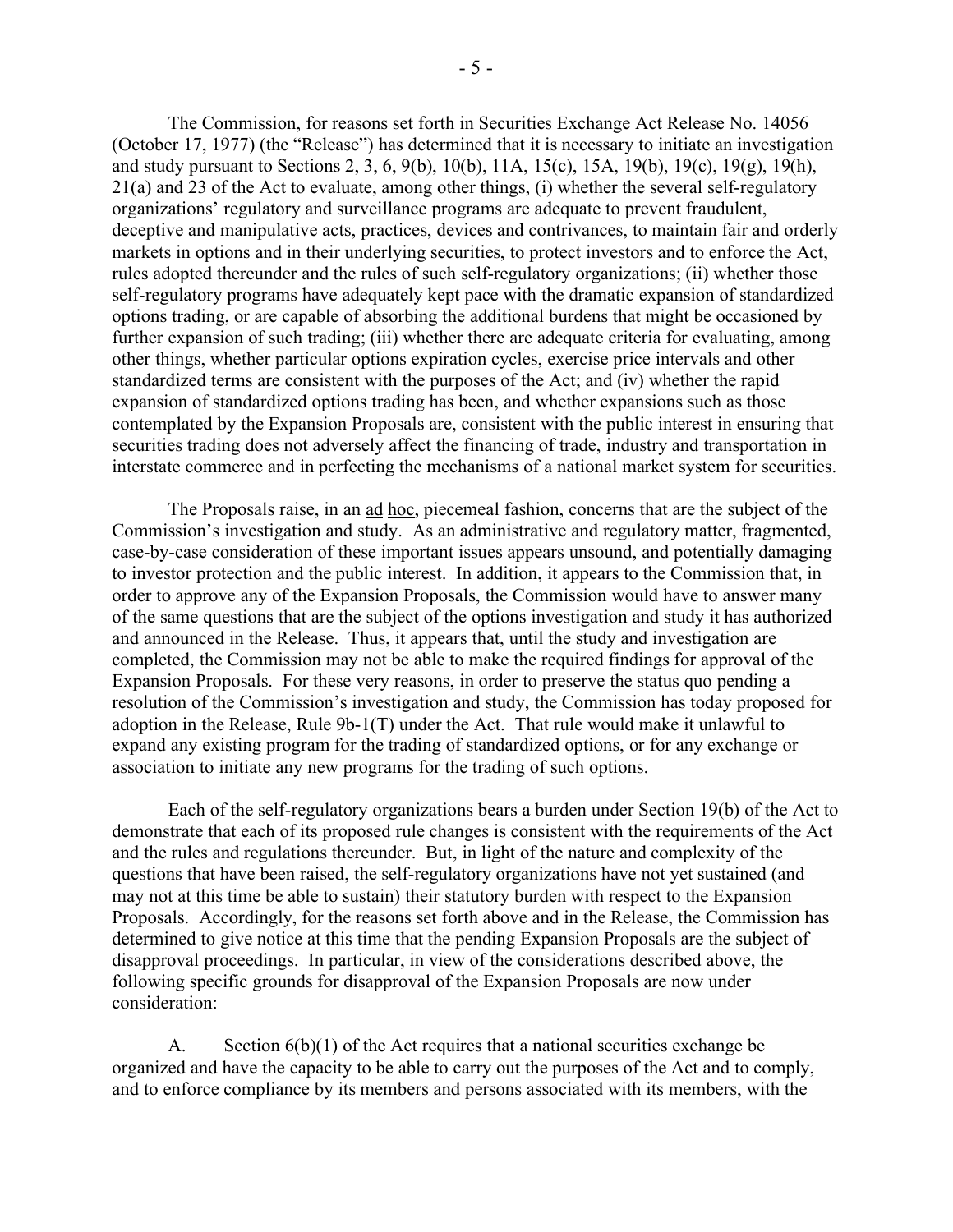The Commission, for reasons set forth in Securities Exchange Act Release No. 14056 (October 17, 1977) (the "Release") has determined that it is necessary to initiate an investigation and study pursuant to Sections 2, 3, 6, 9(b), 10(b), 11A, 15(c), 15A, 19(b), 19(c), 19(g), 19(h), 21(a) and 23 of the Act to evaluate, among other things, (i) whether the several self-regulatory organizations' regulatory and surveillance programs are adequate to prevent fraudulent, deceptive and manipulative acts, practices, devices and contrivances, to maintain fair and orderly markets in options and in their underlying securities, to protect investors and to enforce the Act, rules adopted thereunder and the rules of such self-regulatory organizations; (ii) whether those self-regulatory programs have adequately kept pace with the dramatic expansion of standardized options trading, or are capable of absorbing the additional burdens that might be occasioned by further expansion of such trading; (iii) whether there are adequate criteria for evaluating, among other things, whether particular options expiration cycles, exercise price intervals and other standardized terms are consistent with the purposes of the Act; and (iv) whether the rapid expansion of standardized options trading has been, and whether expansions such as those contemplated by the Expansion Proposals are, consistent with the public interest in ensuring that securities trading does not adversely affect the financing of trade, industry and transportation in interstate commerce and in perfecting the mechanisms of a national market system for securities.

The Proposals raise, in an ad hoc, piecemeal fashion, concerns that are the subject of the Commission's investigation and study. As an administrative and regulatory matter, fragmented, case-by-case consideration of these important issues appears unsound, and potentially damaging to investor protection and the public interest. In addition, it appears to the Commission that, in order to approve any of the Expansion Proposals, the Commission would have to answer many of the same questions that are the subject of the options investigation and study it has authorized and announced in the Release. Thus, it appears that, until the study and investigation are completed, the Commission may not be able to make the required findings for approval of the Expansion Proposals. For these very reasons, in order to preserve the status quo pending a resolution of the Commission's investigation and study, the Commission has today proposed for adoption in the Release, Rule 9b-1(T) under the Act. That rule would make it unlawful to expand any existing program for the trading of standardized options, or for any exchange or association to initiate any new programs for the trading of such options.

Each of the self-regulatory organizations bears a burden under Section 19(b) of the Act to demonstrate that each of its proposed rule changes is consistent with the requirements of the Act and the rules and regulations thereunder. But, in light of the nature and complexity of the questions that have been raised, the self-regulatory organizations have not yet sustained (and may not at this time be able to sustain) their statutory burden with respect to the Expansion Proposals. Accordingly, for the reasons set forth above and in the Release, the Commission has determined to give notice at this time that the pending Expansion Proposals are the subject of disapproval proceedings. In particular, in view of the considerations described above, the following specific grounds for disapproval of the Expansion Proposals are now under consideration:

A. Section  $6(b)(1)$  of the Act requires that a national securities exchange be organized and have the capacity to be able to carry out the purposes of the Act and to comply, and to enforce compliance by its members and persons associated with its members, with the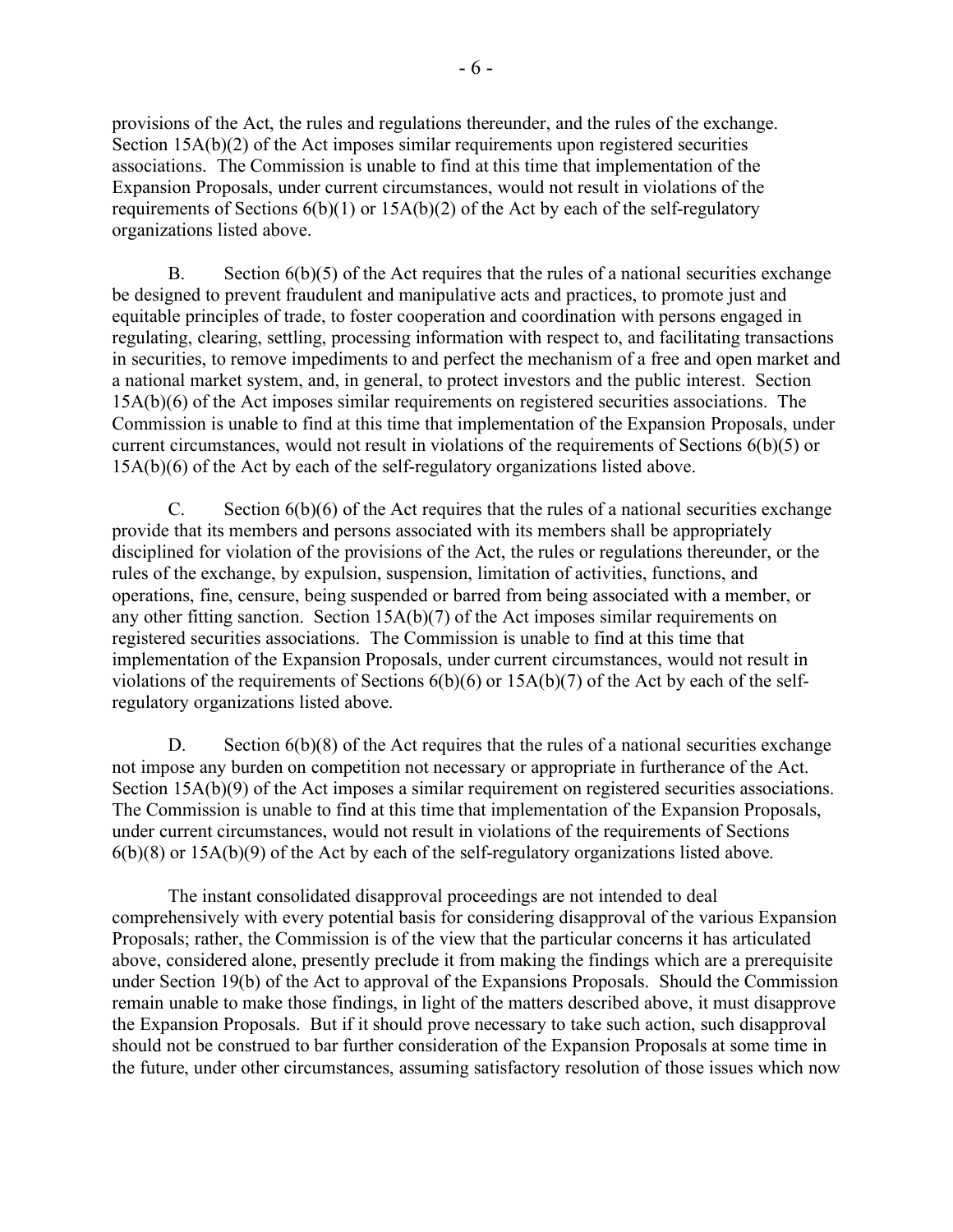provisions of the Act, the rules and regulations thereunder, and the rules of the exchange. Section 15A(b)(2) of the Act imposes similar requirements upon registered securities associations. The Commission is unable to find at this time that implementation of the Expansion Proposals, under current circumstances, would not result in violations of the requirements of Sections  $6(b)(1)$  or  $15A(b)(2)$  of the Act by each of the self-regulatory organizations listed above.

B. Section  $6(b)(5)$  of the Act requires that the rules of a national securities exchange be designed to prevent fraudulent and manipulative acts and practices, to promote just and equitable principles of trade, to foster cooperation and coordination with persons engaged in regulating, clearing, settling, processing information with respect to, and facilitating transactions in securities, to remove impediments to and perfect the mechanism of a free and open market and a national market system, and, in general, to protect investors and the public interest. Section 15A(b)(6) of the Act imposes similar requirements on registered securities associations. The Commission is unable to find at this time that implementation of the Expansion Proposals, under current circumstances, would not result in violations of the requirements of Sections 6(b)(5) or 15A(b)(6) of the Act by each of the self-regulatory organizations listed above.

C. Section  $6(b)(6)$  of the Act requires that the rules of a national securities exchange provide that its members and persons associated with its members shall be appropriately disciplined for violation of the provisions of the Act, the rules or regulations thereunder, or the rules of the exchange, by expulsion, suspension, limitation of activities, functions, and operations, fine, censure, being suspended or barred from being associated with a member, or any other fitting sanction. Section 15A(b)(7) of the Act imposes similar requirements on registered securities associations. The Commission is unable to find at this time that implementation of the Expansion Proposals, under current circumstances, would not result in violations of the requirements of Sections 6(b)(6) or 15A(b)(7) of the Act by each of the selfregulatory organizations listed above.

D. Section 6(b)(8) of the Act requires that the rules of a national securities exchange not impose any burden on competition not necessary or appropriate in furtherance of the Act. Section 15A(b)(9) of the Act imposes a similar requirement on registered securities associations. The Commission is unable to find at this time that implementation of the Expansion Proposals, under current circumstances, would not result in violations of the requirements of Sections 6(b)(8) or 15A(b)(9) of the Act by each of the self-regulatory organizations listed above.

The instant consolidated disapproval proceedings are not intended to deal comprehensively with every potential basis for considering disapproval of the various Expansion Proposals; rather, the Commission is of the view that the particular concerns it has articulated above, considered alone, presently preclude it from making the findings which are a prerequisite under Section 19(b) of the Act to approval of the Expansions Proposals. Should the Commission remain unable to make those findings, in light of the matters described above, it must disapprove the Expansion Proposals. But if it should prove necessary to take such action, such disapproval should not be construed to bar further consideration of the Expansion Proposals at some time in the future, under other circumstances, assuming satisfactory resolution of those issues which now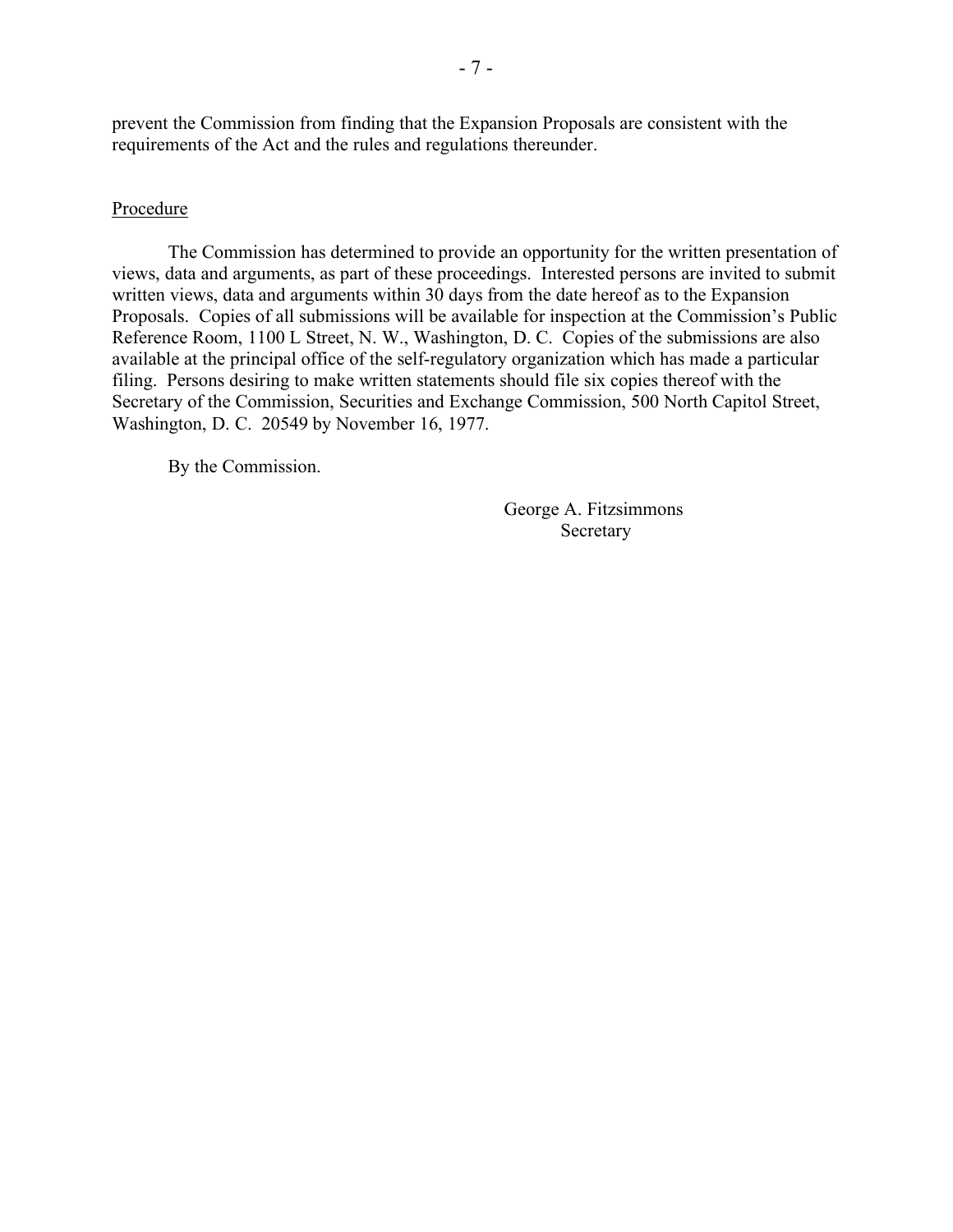prevent the Commission from finding that the Expansion Proposals are consistent with the requirements of the Act and the rules and regulations thereunder.

### Procedure

The Commission has determined to provide an opportunity for the written presentation of views, data and arguments, as part of these proceedings. Interested persons are invited to submit written views, data and arguments within 30 days from the date hereof as to the Expansion Proposals. Copies of all submissions will be available for inspection at the Commission's Public Reference Room, 1100 L Street, N. W., Washington, D. C. Copies of the submissions are also available at the principal office of the self-regulatory organization which has made a particular filing. Persons desiring to make written statements should file six copies thereof with the Secretary of the Commission, Securities and Exchange Commission, 500 North Capitol Street, Washington, D. C. 20549 by November 16, 1977.

By the Commission.

George A. Fitzsimmons Secretary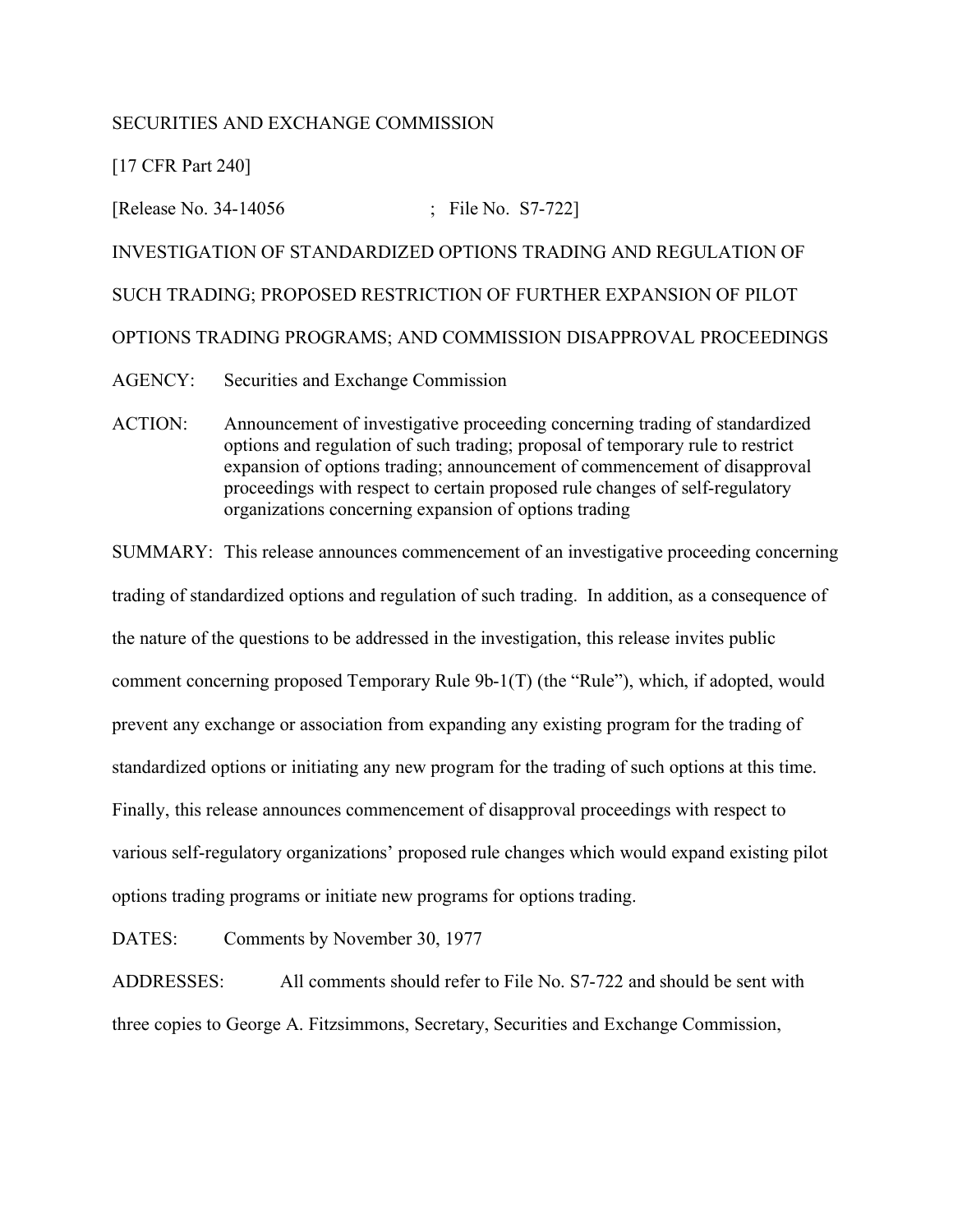# SECURITIES AND EXCHANGE COMMISSION

[17 CFR Part 240]

[Release No. 34-14056 ; File No. S7-722] INVESTIGATION OF STANDARDIZED OPTIONS TRADING AND REGULATION OF SUCH TRADING; PROPOSED RESTRICTION OF FURTHER EXPANSION OF PILOT OPTIONS TRADING PROGRAMS; AND COMMISSION DISAPPROVAL PROCEEDINGS AGENCY: Securities and Exchange Commission

ACTION: Announcement of investigative proceeding concerning trading of standardized options and regulation of such trading; proposal of temporary rule to restrict expansion of options trading; announcement of commencement of disapproval proceedings with respect to certain proposed rule changes of self-regulatory organizations concerning expansion of options trading

SUMMARY: This release announces commencement of an investigative proceeding concerning trading of standardized options and regulation of such trading. In addition, as a consequence of the nature of the questions to be addressed in the investigation, this release invites public comment concerning proposed Temporary Rule 9b-1(T) (the "Rule"), which, if adopted, would prevent any exchange or association from expanding any existing program for the trading of standardized options or initiating any new program for the trading of such options at this time. Finally, this release announces commencement of disapproval proceedings with respect to various self-regulatory organizations' proposed rule changes which would expand existing pilot options trading programs or initiate new programs for options trading.

DATES: Comments by November 30, 1977

ADDRESSES: All comments should refer to File No. S7-722 and should be sent with three copies to George A. Fitzsimmons, Secretary, Securities and Exchange Commission,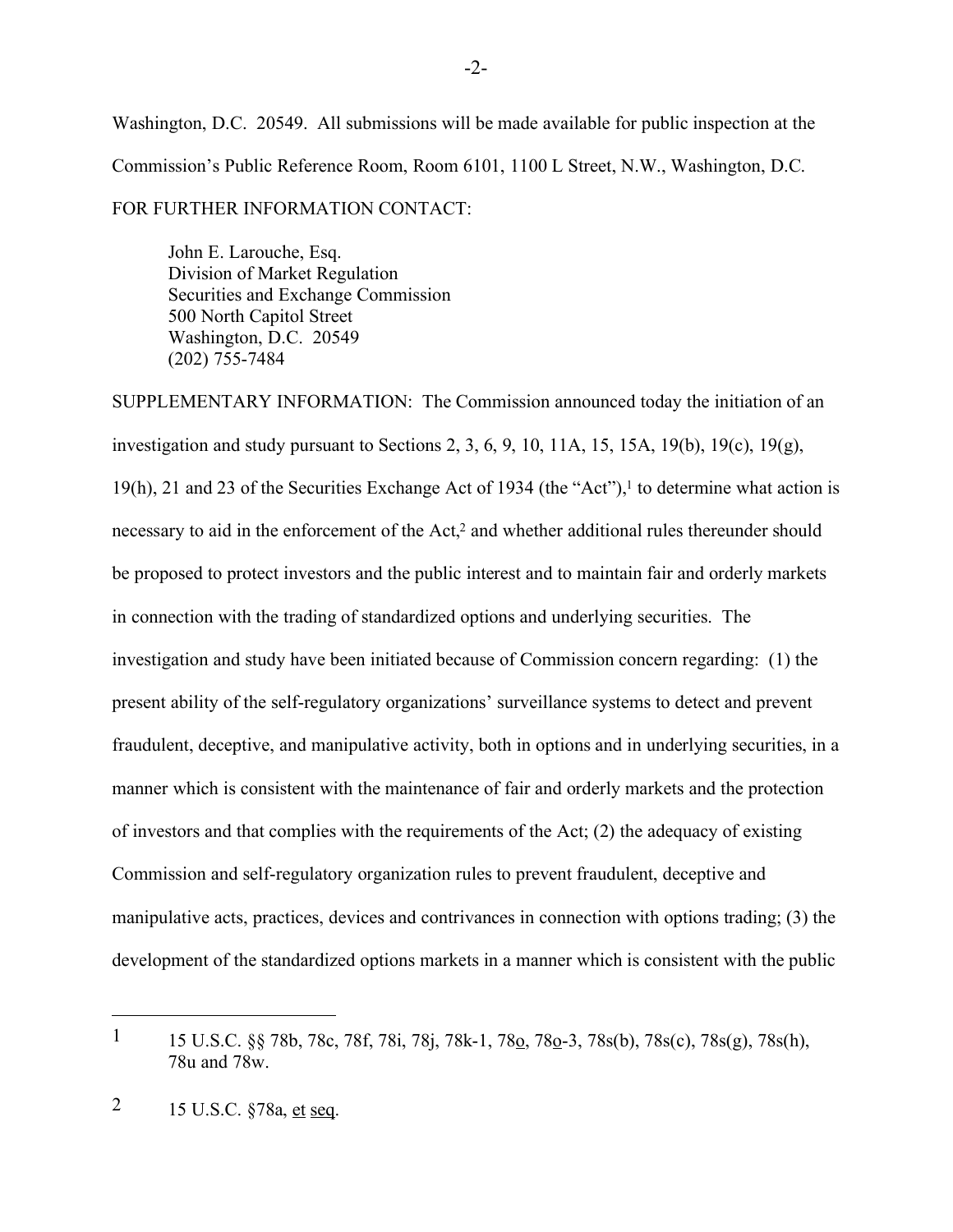Washington, D.C. 20549. All submissions will be made available for public inspection at the Commission's Public Reference Room, Room 6101, 1100 L Street, N.W., Washington, D.C.

FOR FURTHER INFORMATION CONTACT:

John E. Larouche, Esq. Division of Market Regulation Securities and Exchange Commission 500 North Capitol Street Washington, D.C. 20549 (202) 755-7484

SUPPLEMENTARY INFORMATION: The Commission announced today the initiation of an investigation and study pursuant to Sections 2, 3, 6, 9, 10, 11A, 15, 15A, 19(b), 19(c), 19(g), 19(h), 21 and 23 of the Securities Exchange Act of 1934 (the "Act"), $\frac{1}{1}$  to determine what action is necessary to aid in the enforcement of the Act,<sup>2</sup> and whether additional rules thereunder should be proposed to protect investors and the public interest and to maintain fair and orderly markets in connection with the trading of standardized options and underlying securities. The investigation and study have been initiated because of Commission concern regarding: (1) the present ability of the self-regulatory organizations' surveillance systems to detect and prevent fraudulent, deceptive, and manipulative activity, both in options and in underlying securities, in a manner which is consistent with the maintenance of fair and orderly markets and the protection of investors and that complies with the requirements of the Act; (2) the adequacy of existing Commission and self-regulatory organization rules to prevent fraudulent, deceptive and manipulative acts, practices, devices and contrivances in connection with options trading; (3) the development of the standardized options markets in a manner which is consistent with the public

<sup>1</sup> 15 U.S.C. §§ 78b, 78c, 78f, 78i, 78j, 78k-1, 78o, 78o-3, 78s(b), 78s(c), 78s(g), 78s(h), 78u and 78w.

<sup>2</sup> 15 U.S.C. §78a, et seq.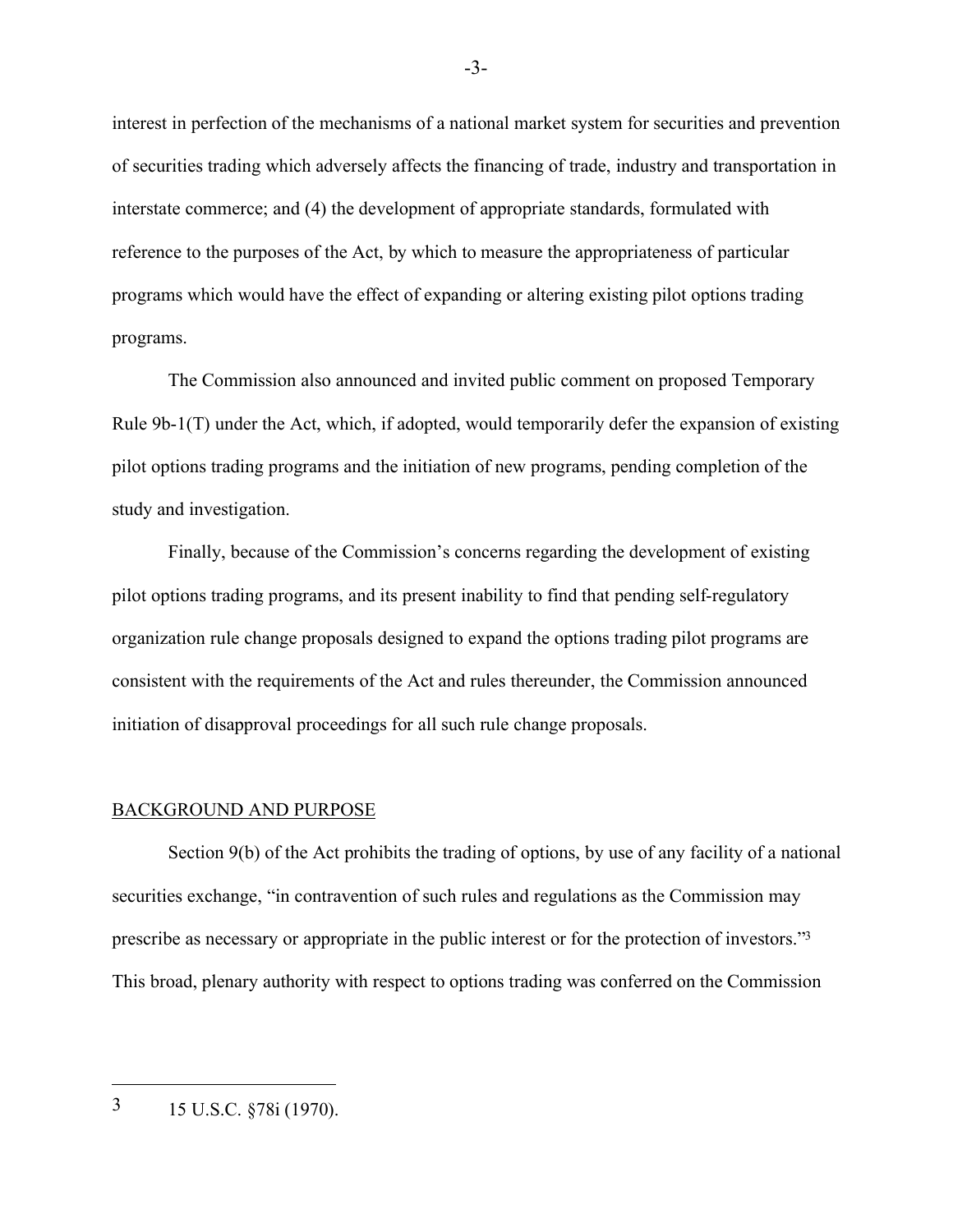interest in perfection of the mechanisms of a national market system for securities and prevention of securities trading which adversely affects the financing of trade, industry and transportation in interstate commerce; and (4) the development of appropriate standards, formulated with reference to the purposes of the Act, by which to measure the appropriateness of particular programs which would have the effect of expanding or altering existing pilot options trading programs.

The Commission also announced and invited public comment on proposed Temporary Rule 9b-1(T) under the Act, which, if adopted, would temporarily defer the expansion of existing pilot options trading programs and the initiation of new programs, pending completion of the study and investigation.

Finally, because of the Commission's concerns regarding the development of existing pilot options trading programs, and its present inability to find that pending self-regulatory organization rule change proposals designed to expand the options trading pilot programs are consistent with the requirements of the Act and rules thereunder, the Commission announced initiation of disapproval proceedings for all such rule change proposals.

#### BACKGROUND AND PURPOSE

Section 9(b) of the Act prohibits the trading of options, by use of any facility of a national securities exchange, "in contravention of such rules and regulations as the Commission may prescribe as necessary or appropriate in the public interest or for the protection of investors."3 This broad, plenary authority with respect to options trading was conferred on the Commission

3 15 U.S.C. §78i (1970).

 $\overline{a}$ 

-3-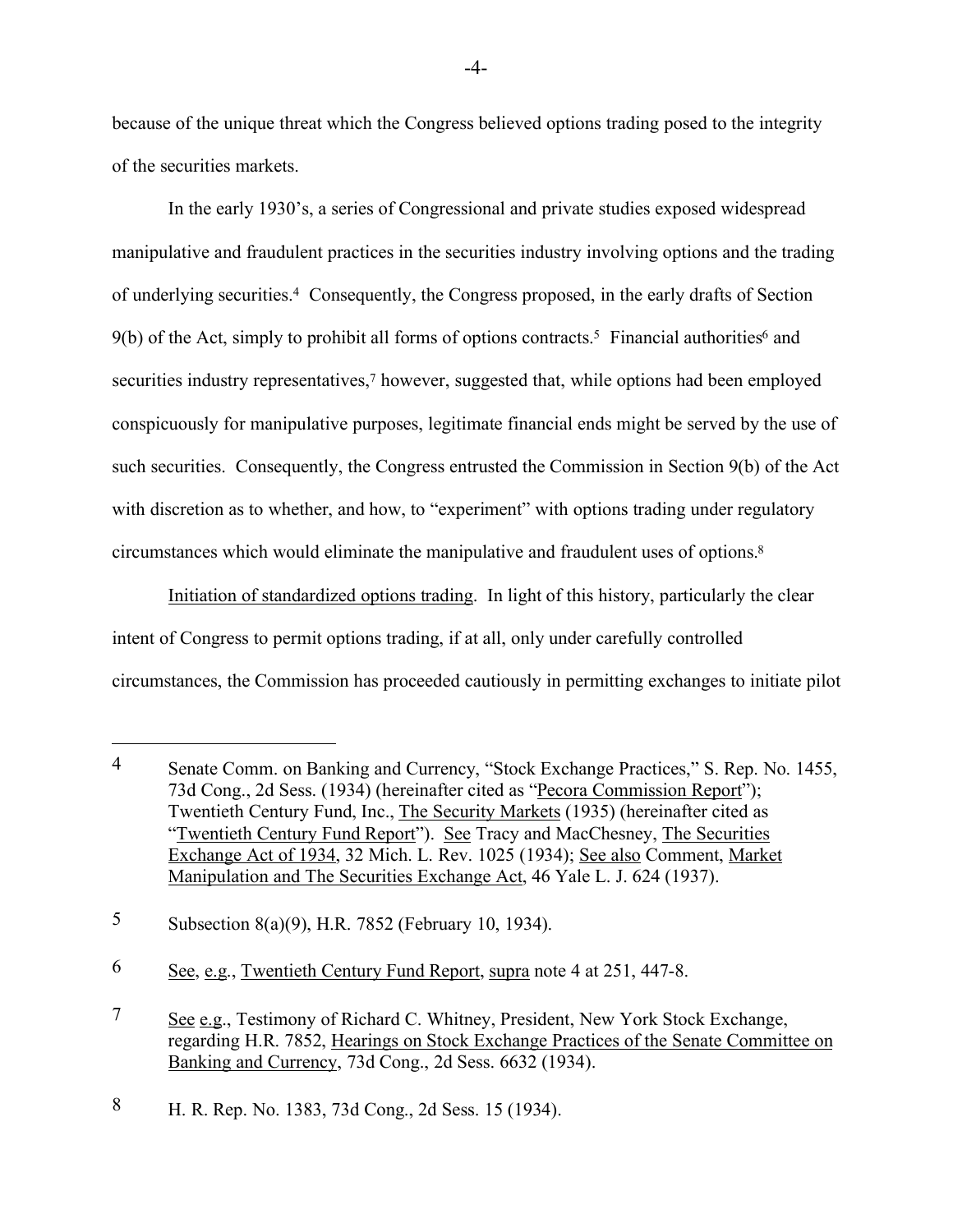because of the unique threat which the Congress believed options trading posed to the integrity of the securities markets.

In the early 1930's, a series of Congressional and private studies exposed widespread manipulative and fraudulent practices in the securities industry involving options and the trading of underlying securities.4 Consequently, the Congress proposed, in the early drafts of Section  $9(b)$  of the Act, simply to prohibit all forms of options contracts.<sup>5</sup> Financial authorities<sup>6</sup> and securities industry representatives,<sup>7</sup> however, suggested that, while options had been employed conspicuously for manipulative purposes, legitimate financial ends might be served by the use of such securities. Consequently, the Congress entrusted the Commission in Section 9(b) of the Act with discretion as to whether, and how, to "experiment" with options trading under regulatory circumstances which would eliminate the manipulative and fraudulent uses of options.8

Initiation of standardized options trading. In light of this history, particularly the clear intent of Congress to permit options trading, if at all, only under carefully controlled circumstances, the Commission has proceeded cautiously in permitting exchanges to initiate pilot

<sup>4</sup> Senate Comm. on Banking and Currency, "Stock Exchange Practices," S. Rep. No. 1455, 73d Cong., 2d Sess. (1934) (hereinafter cited as "Pecora Commission Report"); Twentieth Century Fund, Inc., The Security Markets (1935) (hereinafter cited as "Twentieth Century Fund Report"). See Tracy and MacChesney, The Securities Exchange Act of 1934, 32 Mich. L. Rev. 1025 (1934); See also Comment, Market Manipulation and The Securities Exchange Act, 46 Yale L. J. 624 (1937).

<sup>5</sup> Subsection 8(a)(9), H.R. 7852 (February 10, 1934).

<sup>6</sup> See, e.g., Twentieth Century Fund Report, supra note 4 at 251, 447-8.

<sup>7</sup> See e.g., Testimony of Richard C. Whitney, President, New York Stock Exchange, regarding H.R. 7852, Hearings on Stock Exchange Practices of the Senate Committee on Banking and Currency, 73d Cong., 2d Sess. 6632 (1934).

<sup>8</sup> H. R. Rep. No. 1383, 73d Cong., 2d Sess. 15 (1934).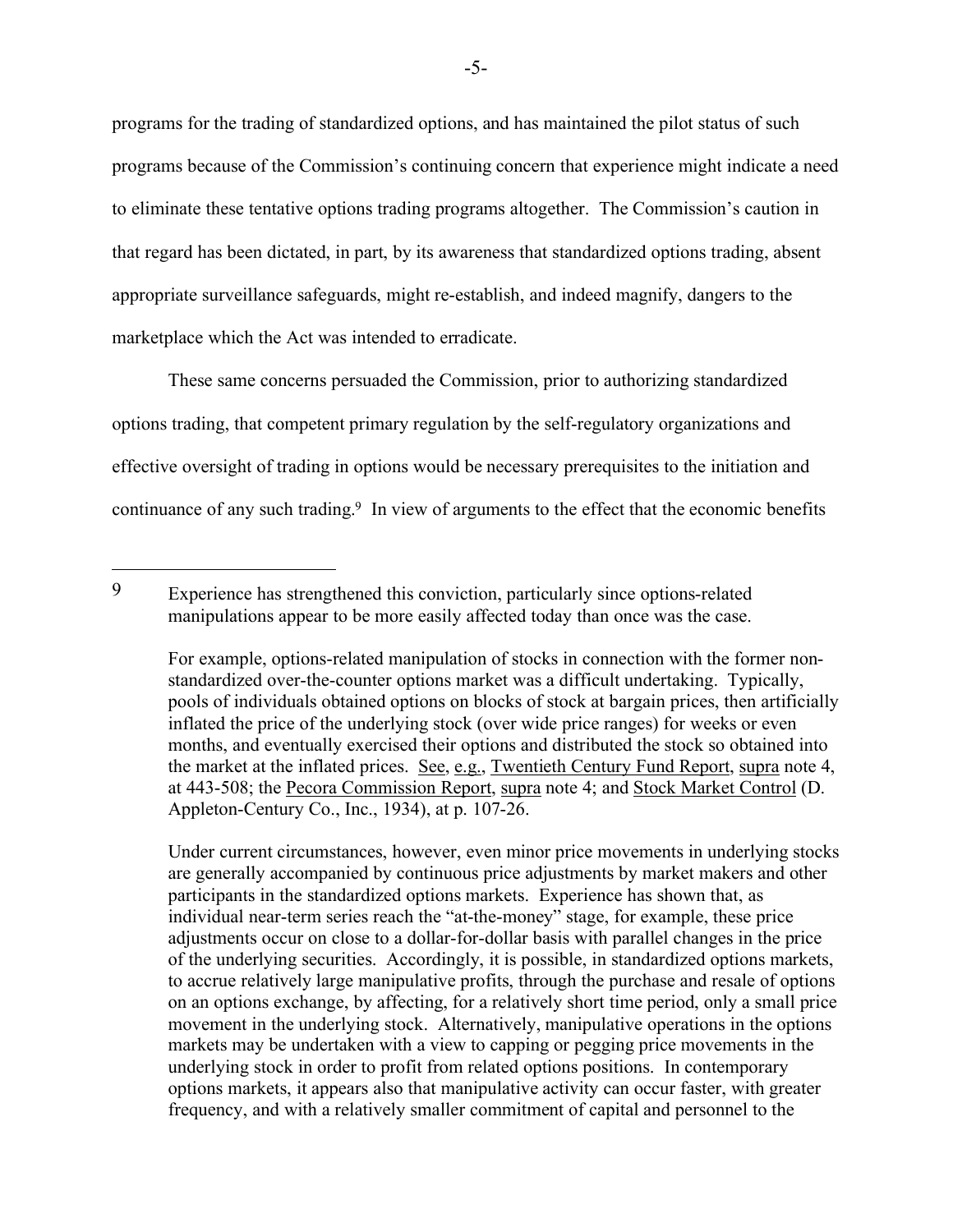programs for the trading of standardized options, and has maintained the pilot status of such programs because of the Commission's continuing concern that experience might indicate a need to eliminate these tentative options trading programs altogether. The Commission's caution in that regard has been dictated, in part, by its awareness that standardized options trading, absent appropriate surveillance safeguards, might re-establish, and indeed magnify, dangers to the marketplace which the Act was intended to erradicate.

These same concerns persuaded the Commission, prior to authorizing standardized options trading, that competent primary regulation by the self-regulatory organizations and effective oversight of trading in options would be necessary prerequisites to the initiation and continuance of any such trading.9 In view of arguments to the effect that the economic benefits

Under current circumstances, however, even minor price movements in underlying stocks are generally accompanied by continuous price adjustments by market makers and other participants in the standardized options markets. Experience has shown that, as individual near-term series reach the "at-the-money" stage, for example, these price adjustments occur on close to a dollar-for-dollar basis with parallel changes in the price of the underlying securities. Accordingly, it is possible, in standardized options markets, to accrue relatively large manipulative profits, through the purchase and resale of options on an options exchange, by affecting, for a relatively short time period, only a small price movement in the underlying stock. Alternatively, manipulative operations in the options markets may be undertaken with a view to capping or pegging price movements in the underlying stock in order to profit from related options positions. In contemporary options markets, it appears also that manipulative activity can occur faster, with greater frequency, and with a relatively smaller commitment of capital and personnel to the

<sup>9</sup> Experience has strengthened this conviction, particularly since options-related manipulations appear to be more easily affected today than once was the case.

For example, options-related manipulation of stocks in connection with the former nonstandardized over-the-counter options market was a difficult undertaking. Typically, pools of individuals obtained options on blocks of stock at bargain prices, then artificially inflated the price of the underlying stock (over wide price ranges) for weeks or even months, and eventually exercised their options and distributed the stock so obtained into the market at the inflated prices. See, e.g., Twentieth Century Fund Report, supra note 4, at 443-508; the Pecora Commission Report, supra note 4; and Stock Market Control (D. Appleton-Century Co., Inc., 1934), at p. 107-26.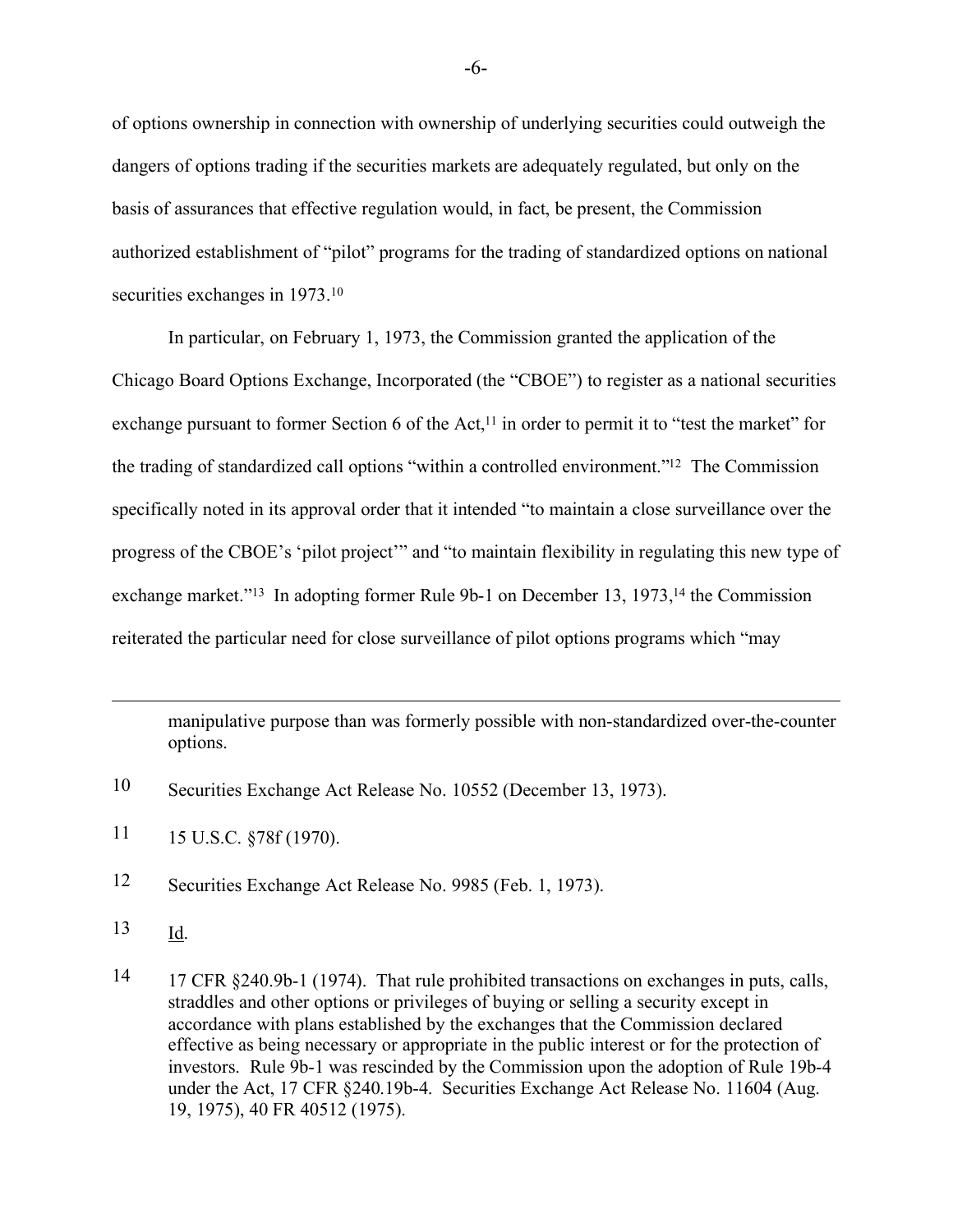of options ownership in connection with ownership of underlying securities could outweigh the dangers of options trading if the securities markets are adequately regulated, but only on the basis of assurances that effective regulation would, in fact, be present, the Commission authorized establishment of "pilot" programs for the trading of standardized options on national securities exchanges in 1973.<sup>10</sup>

In particular, on February 1, 1973, the Commission granted the application of the Chicago Board Options Exchange, Incorporated (the "CBOE") to register as a national securities exchange pursuant to former Section 6 of the Act,<sup>11</sup> in order to permit it to "test the market" for the trading of standardized call options "within a controlled environment."12 The Commission specifically noted in its approval order that it intended "to maintain a close surveillance over the progress of the CBOE's 'pilot project'" and "to maintain flexibility in regulating this new type of exchange market."<sup>13</sup> In adopting former Rule 9b-1 on December 13, 1973,<sup>14</sup> the Commission reiterated the particular need for close surveillance of pilot options programs which "may

manipulative purpose than was formerly possible with non-standardized over-the-counter options.

- 10 Securities Exchange Act Release No. 10552 (December 13, 1973).
- 11 15 U.S.C. §78f (1970).
- 12 Securities Exchange Act Release No. 9985 (Feb. 1, 1973).
- 13 Id.

 $\overline{a}$ 

14 17 CFR §240.9b-1 (1974). That rule prohibited transactions on exchanges in puts, calls, straddles and other options or privileges of buying or selling a security except in accordance with plans established by the exchanges that the Commission declared effective as being necessary or appropriate in the public interest or for the protection of investors. Rule 9b-1 was rescinded by the Commission upon the adoption of Rule 19b-4 under the Act, 17 CFR §240.19b-4. Securities Exchange Act Release No. 11604 (Aug. 19, 1975), 40 FR 40512 (1975).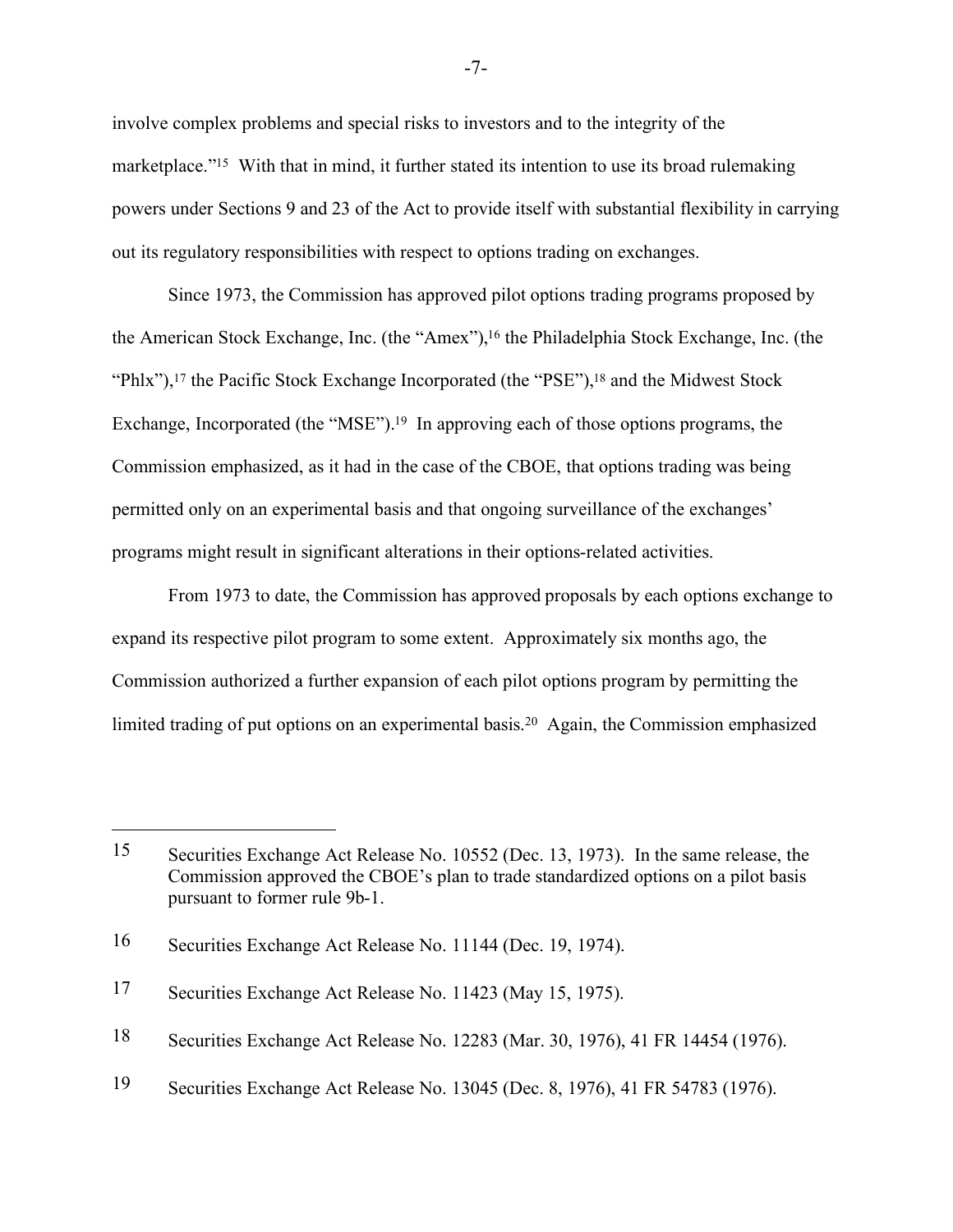involve complex problems and special risks to investors and to the integrity of the marketplace."<sup>15</sup> With that in mind, it further stated its intention to use its broad rulemaking powers under Sections 9 and 23 of the Act to provide itself with substantial flexibility in carrying out its regulatory responsibilities with respect to options trading on exchanges.

Since 1973, the Commission has approved pilot options trading programs proposed by the American Stock Exchange, Inc. (the "Amex"),16 the Philadelphia Stock Exchange, Inc. (the "Phlx"),<sup>17</sup> the Pacific Stock Exchange Incorporated (the "PSE"),<sup>18</sup> and the Midwest Stock Exchange, Incorporated (the "MSE").<sup>19</sup> In approving each of those options programs, the Commission emphasized, as it had in the case of the CBOE, that options trading was being permitted only on an experimental basis and that ongoing surveillance of the exchanges' programs might result in significant alterations in their options-related activities.

From 1973 to date, the Commission has approved proposals by each options exchange to expand its respective pilot program to some extent. Approximately six months ago, the Commission authorized a further expansion of each pilot options program by permitting the limited trading of put options on an experimental basis.20 Again, the Commission emphasized

<sup>15</sup> Securities Exchange Act Release No. 10552 (Dec. 13, 1973). In the same release, the Commission approved the CBOE's plan to trade standardized options on a pilot basis pursuant to former rule 9b-1.

<sup>16</sup> Securities Exchange Act Release No. 11144 (Dec. 19, 1974).

<sup>17</sup> Securities Exchange Act Release No. 11423 (May 15, 1975).

<sup>18</sup> Securities Exchange Act Release No. 12283 (Mar. 30, 1976), 41 FR 14454 (1976).

<sup>19</sup> Securities Exchange Act Release No. 13045 (Dec. 8, 1976), 41 FR 54783 (1976).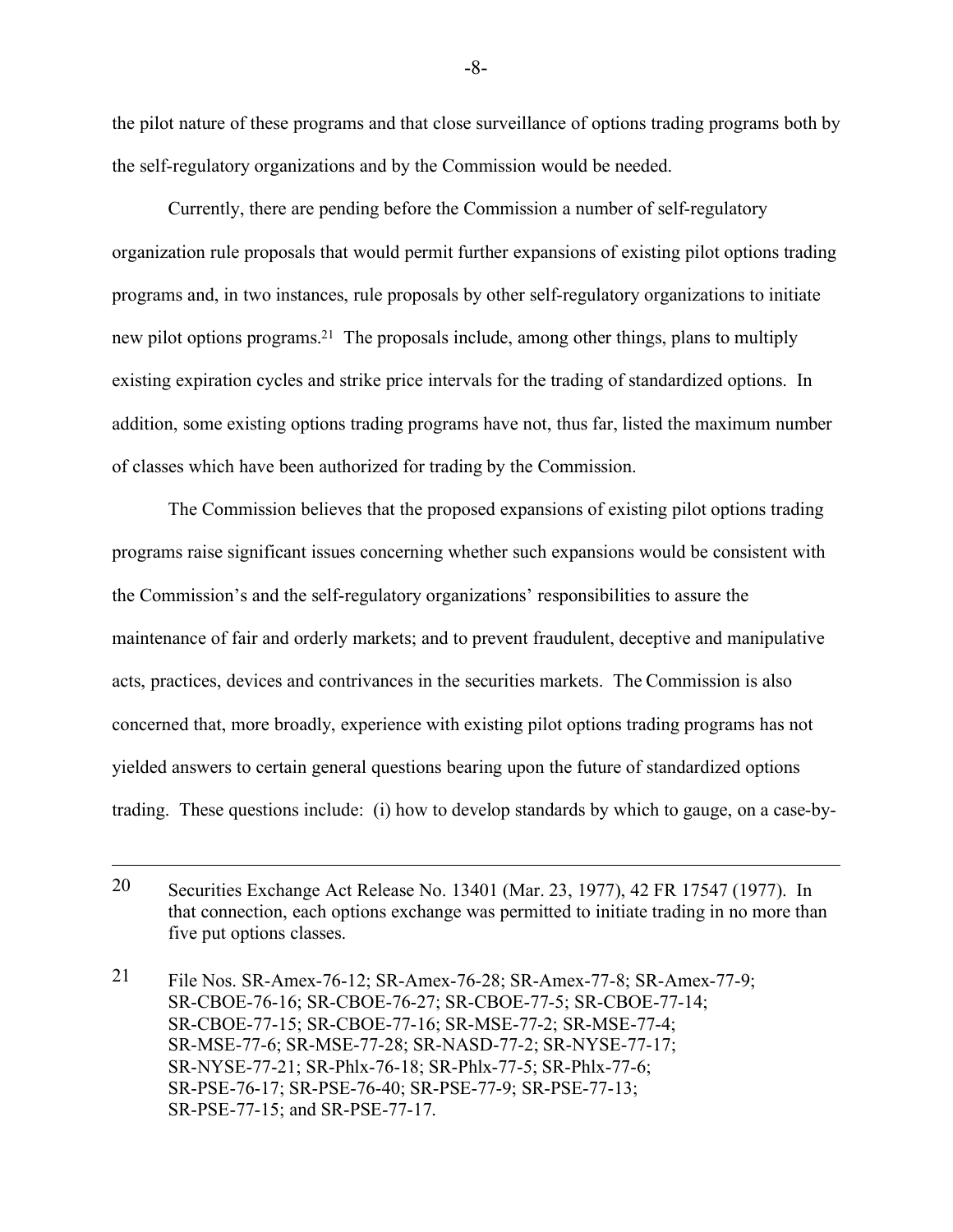the pilot nature of these programs and that close surveillance of options trading programs both by the self-regulatory organizations and by the Commission would be needed.

Currently, there are pending before the Commission a number of self-regulatory organization rule proposals that would permit further expansions of existing pilot options trading programs and, in two instances, rule proposals by other self-regulatory organizations to initiate new pilot options programs.21 The proposals include, among other things, plans to multiply existing expiration cycles and strike price intervals for the trading of standardized options. In addition, some existing options trading programs have not, thus far, listed the maximum number of classes which have been authorized for trading by the Commission.

The Commission believes that the proposed expansions of existing pilot options trading programs raise significant issues concerning whether such expansions would be consistent with the Commission's and the self-regulatory organizations' responsibilities to assure the maintenance of fair and orderly markets; and to prevent fraudulent, deceptive and manipulative acts, practices, devices and contrivances in the securities markets. The Commission is also concerned that, more broadly, experience with existing pilot options trading programs has not yielded answers to certain general questions bearing upon the future of standardized options trading. These questions include: (i) how to develop standards by which to gauge, on a case-by-

<sup>20</sup> Securities Exchange Act Release No. 13401 (Mar. 23, 1977), 42 FR 17547 (1977). In that connection, each options exchange was permitted to initiate trading in no more than five put options classes.

<sup>21</sup> File Nos. SR-Amex-76-12; SR-Amex-76-28; SR-Amex-77-8; SR-Amex-77-9; SR-CBOE-76-16; SR-CBOE-76-27; SR-CBOE-77-5; SR-CBOE-77-14; SR-CBOE-77-15; SR-CBOE-77-16; SR-MSE-77-2; SR-MSE-77-4; SR-MSE-77-6; SR-MSE-77-28; SR-NASD-77-2; SR-NYSE-77-17; SR-NYSE-77-21; SR-Phlx-76-18; SR-Phlx-77-5; SR-Phlx-77-6; SR-PSE-76-17; SR-PSE-76-40; SR-PSE-77-9; SR-PSE-77-13; SR-PSE-77-15; and SR-PSE-77-17.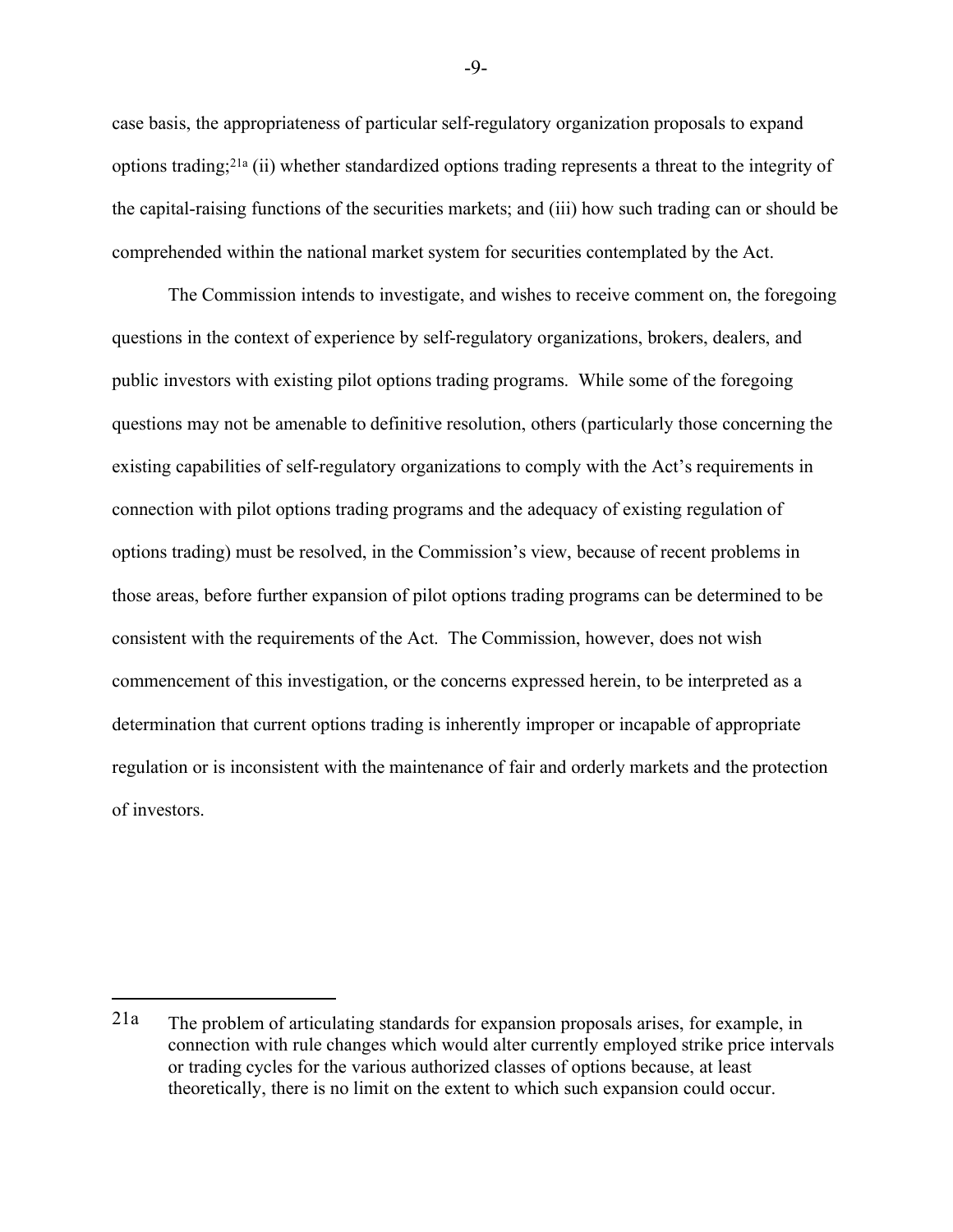case basis, the appropriateness of particular self-regulatory organization proposals to expand options trading;21a (ii) whether standardized options trading represents a threat to the integrity of the capital-raising functions of the securities markets; and (iii) how such trading can or should be comprehended within the national market system for securities contemplated by the Act.

The Commission intends to investigate, and wishes to receive comment on, the foregoing questions in the context of experience by self-regulatory organizations, brokers, dealers, and public investors with existing pilot options trading programs. While some of the foregoing questions may not be amenable to definitive resolution, others (particularly those concerning the existing capabilities of self-regulatory organizations to comply with the Act's requirements in connection with pilot options trading programs and the adequacy of existing regulation of options trading) must be resolved, in the Commission's view, because of recent problems in those areas, before further expansion of pilot options trading programs can be determined to be consistent with the requirements of the Act. The Commission, however, does not wish commencement of this investigation, or the concerns expressed herein, to be interpreted as a determination that current options trading is inherently improper or incapable of appropriate regulation or is inconsistent with the maintenance of fair and orderly markets and the protection of investors.

-9-

<sup>21</sup>a The problem of articulating standards for expansion proposals arises, for example, in connection with rule changes which would alter currently employed strike price intervals or trading cycles for the various authorized classes of options because, at least theoretically, there is no limit on the extent to which such expansion could occur.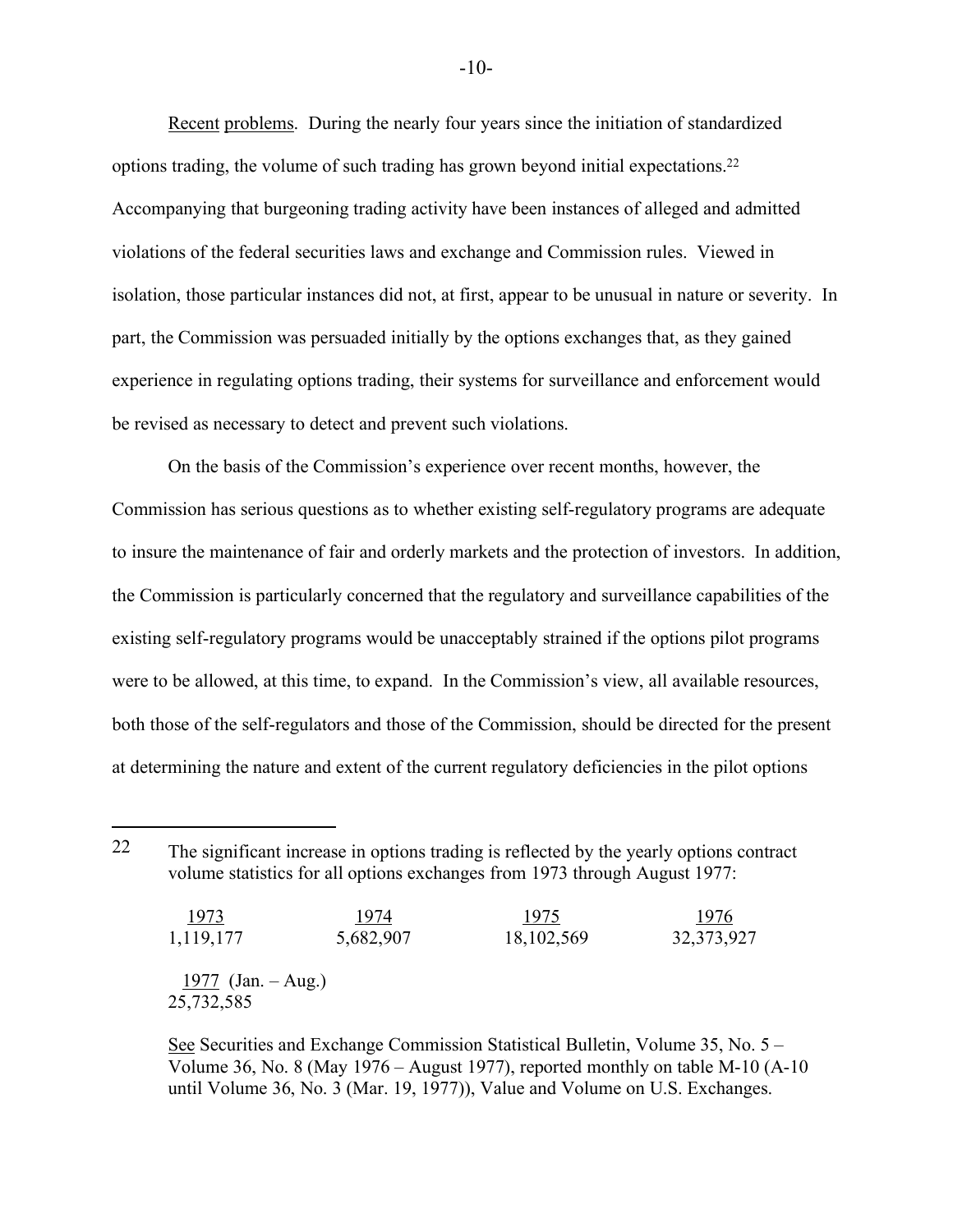Recent problems. During the nearly four years since the initiation of standardized options trading, the volume of such trading has grown beyond initial expectations.22 Accompanying that burgeoning trading activity have been instances of alleged and admitted violations of the federal securities laws and exchange and Commission rules. Viewed in isolation, those particular instances did not, at first, appear to be unusual in nature or severity. In part, the Commission was persuaded initially by the options exchanges that, as they gained experience in regulating options trading, their systems for surveillance and enforcement would be revised as necessary to detect and prevent such violations.

On the basis of the Commission's experience over recent months, however, the Commission has serious questions as to whether existing self-regulatory programs are adequate to insure the maintenance of fair and orderly markets and the protection of investors. In addition, the Commission is particularly concerned that the regulatory and surveillance capabilities of the existing self-regulatory programs would be unacceptably strained if the options pilot programs were to be allowed, at this time, to expand. In the Commission's view, all available resources, both those of the self-regulators and those of the Commission, should be directed for the present at determining the nature and extent of the current regulatory deficiencies in the pilot options

 $\overline{a}$ 

| <u> 1973 </u>        | 1974      | 1975         | 1976         |
|----------------------|-----------|--------------|--------------|
| 1,119,177            | 5,682,907 | 18, 102, 569 | 32, 373, 927 |
|                      |           |              |              |
| $1977$ (Jan. – Aug.) |           |              |              |
| 25,732,585           |           |              |              |

See Securities and Exchange Commission Statistical Bulletin, Volume 35, No. 5 – Volume 36, No. 8 (May 1976 – August 1977), reported monthly on table M-10 (A-10 until Volume 36, No. 3 (Mar. 19, 1977)), Value and Volume on U.S. Exchanges.

<sup>22</sup> The significant increase in options trading is reflected by the yearly options contract volume statistics for all options exchanges from 1973 through August 1977: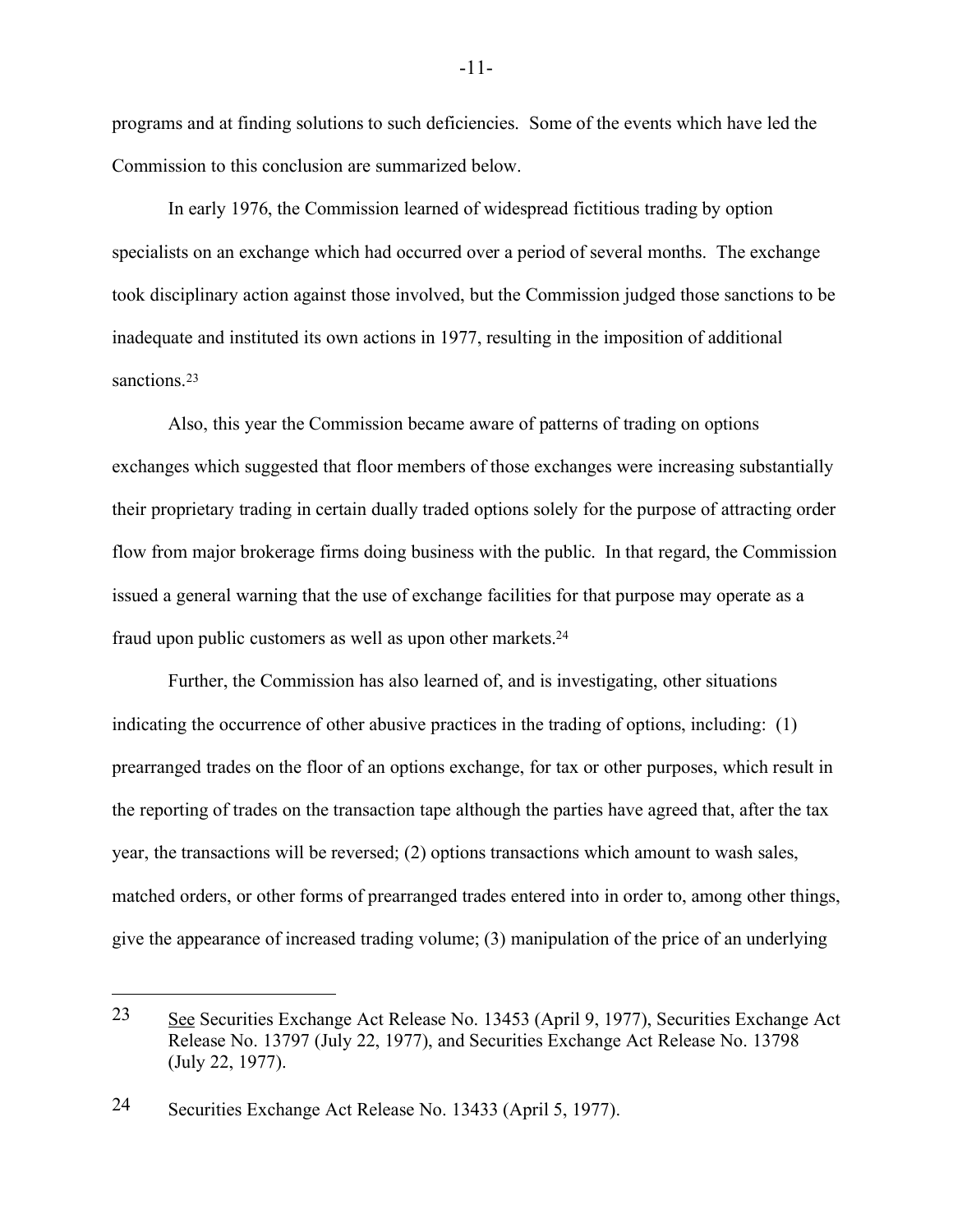programs and at finding solutions to such deficiencies. Some of the events which have led the Commission to this conclusion are summarized below.

In early 1976, the Commission learned of widespread fictitious trading by option specialists on an exchange which had occurred over a period of several months. The exchange took disciplinary action against those involved, but the Commission judged those sanctions to be inadequate and instituted its own actions in 1977, resulting in the imposition of additional sanctions.<sup>23</sup>

Also, this year the Commission became aware of patterns of trading on options exchanges which suggested that floor members of those exchanges were increasing substantially their proprietary trading in certain dually traded options solely for the purpose of attracting order flow from major brokerage firms doing business with the public. In that regard, the Commission issued a general warning that the use of exchange facilities for that purpose may operate as a fraud upon public customers as well as upon other markets.24

Further, the Commission has also learned of, and is investigating, other situations indicating the occurrence of other abusive practices in the trading of options, including: (1) prearranged trades on the floor of an options exchange, for tax or other purposes, which result in the reporting of trades on the transaction tape although the parties have agreed that, after the tax year, the transactions will be reversed; (2) options transactions which amount to wash sales, matched orders, or other forms of prearranged trades entered into in order to, among other things, give the appearance of increased trading volume; (3) manipulation of the price of an underlying

<sup>23</sup> See Securities Exchange Act Release No. 13453 (April 9, 1977), Securities Exchange Act Release No. 13797 (July 22, 1977), and Securities Exchange Act Release No. 13798 (July 22, 1977).

<sup>24</sup> Securities Exchange Act Release No. 13433 (April 5, 1977).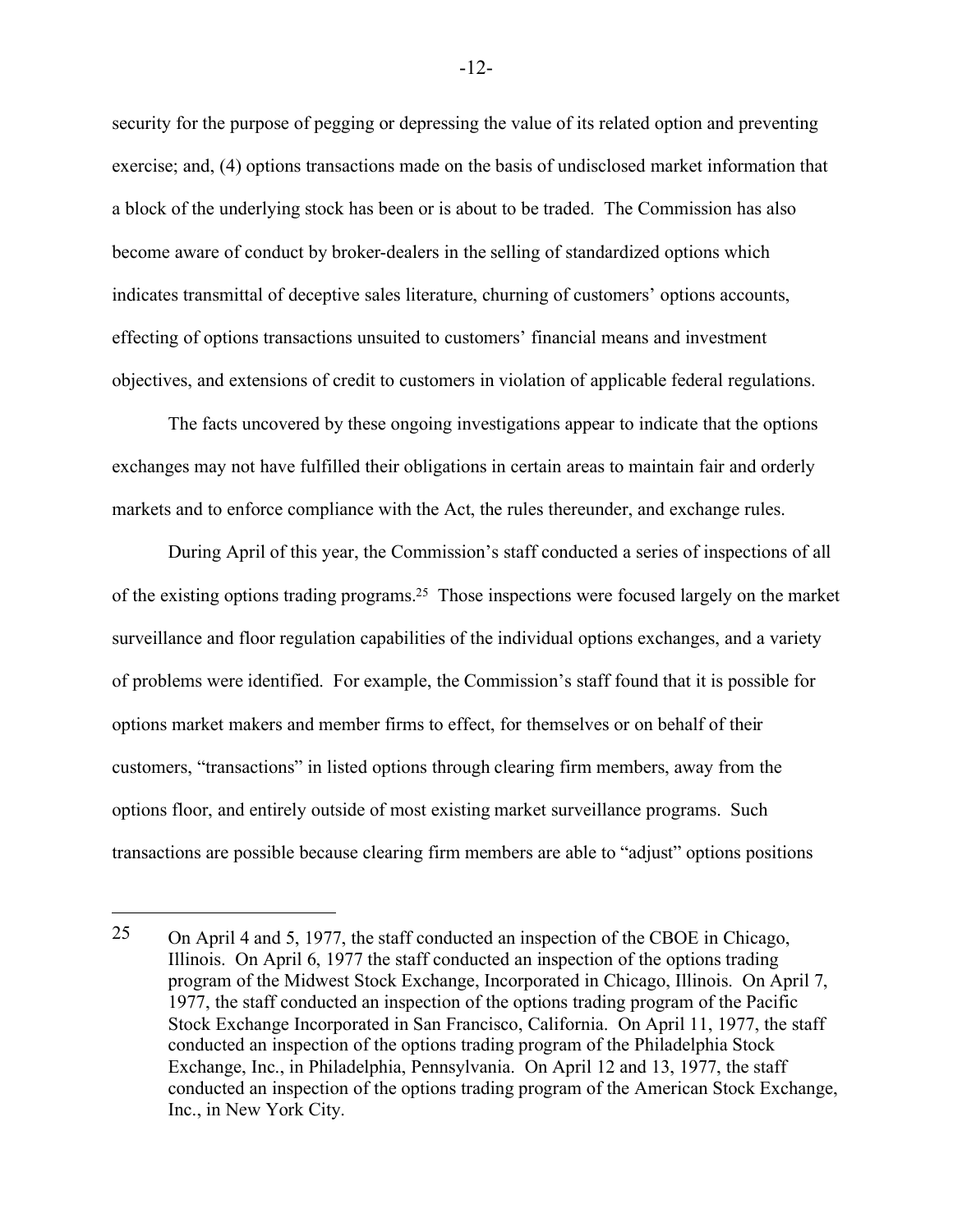security for the purpose of pegging or depressing the value of its related option and preventing exercise; and, (4) options transactions made on the basis of undisclosed market information that a block of the underlying stock has been or is about to be traded. The Commission has also become aware of conduct by broker-dealers in the selling of standardized options which indicates transmittal of deceptive sales literature, churning of customers' options accounts, effecting of options transactions unsuited to customers' financial means and investment objectives, and extensions of credit to customers in violation of applicable federal regulations.

The facts uncovered by these ongoing investigations appear to indicate that the options exchanges may not have fulfilled their obligations in certain areas to maintain fair and orderly markets and to enforce compliance with the Act, the rules thereunder, and exchange rules.

During April of this year, the Commission's staff conducted a series of inspections of all of the existing options trading programs.25 Those inspections were focused largely on the market surveillance and floor regulation capabilities of the individual options exchanges, and a variety of problems were identified. For example, the Commission's staff found that it is possible for options market makers and member firms to effect, for themselves or on behalf of their customers, "transactions" in listed options through clearing firm members, away from the options floor, and entirely outside of most existing market surveillance programs. Such transactions are possible because clearing firm members are able to "adjust" options positions

 $\overline{a}$ 

-12-

<sup>25</sup> On April 4 and 5, 1977, the staff conducted an inspection of the CBOE in Chicago, Illinois. On April 6, 1977 the staff conducted an inspection of the options trading program of the Midwest Stock Exchange, Incorporated in Chicago, Illinois. On April 7, 1977, the staff conducted an inspection of the options trading program of the Pacific Stock Exchange Incorporated in San Francisco, California. On April 11, 1977, the staff conducted an inspection of the options trading program of the Philadelphia Stock Exchange, Inc., in Philadelphia, Pennsylvania. On April 12 and 13, 1977, the staff conducted an inspection of the options trading program of the American Stock Exchange, Inc., in New York City.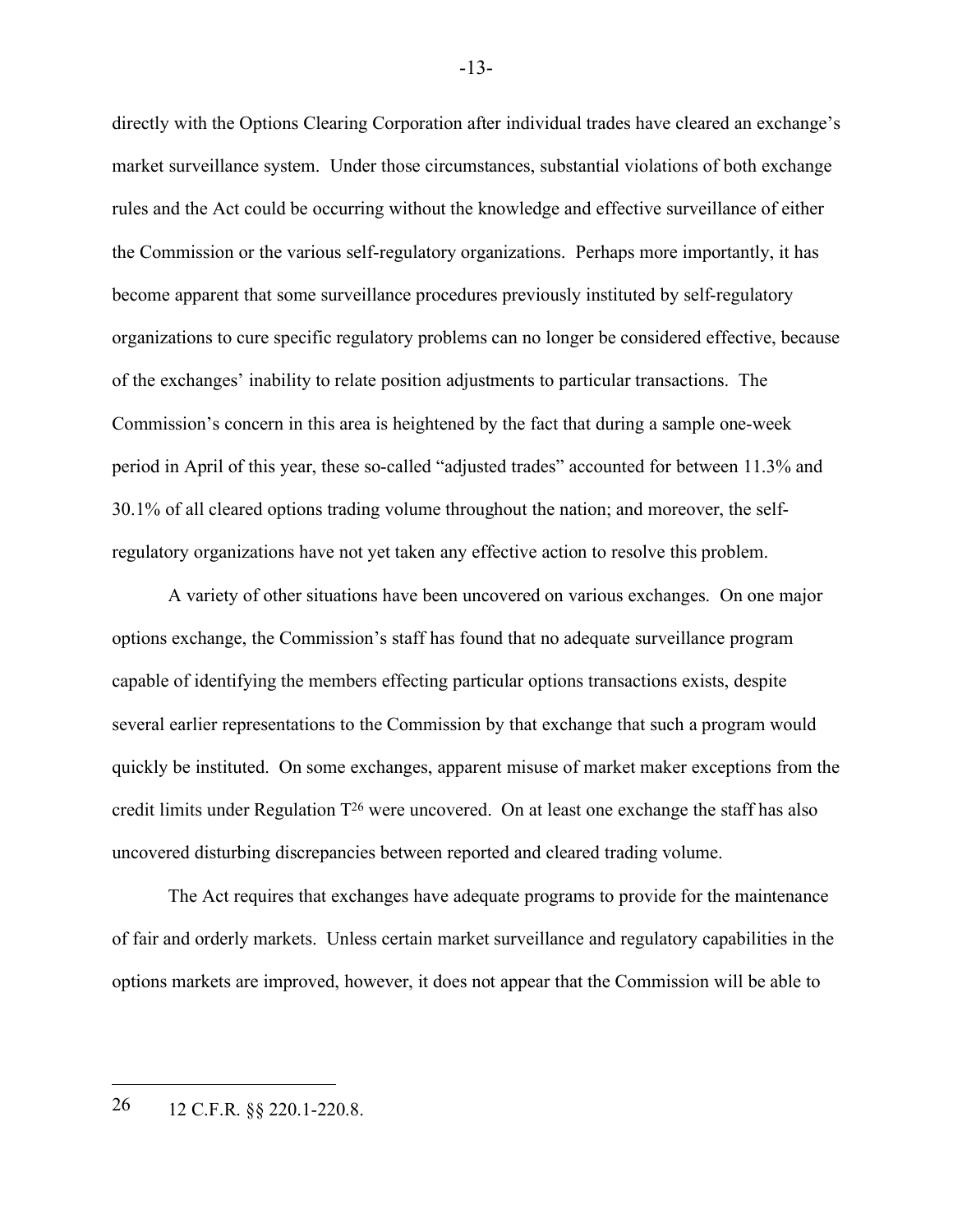directly with the Options Clearing Corporation after individual trades have cleared an exchange's market surveillance system. Under those circumstances, substantial violations of both exchange rules and the Act could be occurring without the knowledge and effective surveillance of either the Commission or the various self-regulatory organizations. Perhaps more importantly, it has become apparent that some surveillance procedures previously instituted by self-regulatory organizations to cure specific regulatory problems can no longer be considered effective, because of the exchanges' inability to relate position adjustments to particular transactions. The Commission's concern in this area is heightened by the fact that during a sample one-week period in April of this year, these so-called "adjusted trades" accounted for between 11.3% and 30.1% of all cleared options trading volume throughout the nation; and moreover, the selfregulatory organizations have not yet taken any effective action to resolve this problem.

A variety of other situations have been uncovered on various exchanges. On one major options exchange, the Commission's staff has found that no adequate surveillance program capable of identifying the members effecting particular options transactions exists, despite several earlier representations to the Commission by that exchange that such a program would quickly be instituted. On some exchanges, apparent misuse of market maker exceptions from the credit limits under Regulation T26 were uncovered. On at least one exchange the staff has also uncovered disturbing discrepancies between reported and cleared trading volume.

The Act requires that exchanges have adequate programs to provide for the maintenance of fair and orderly markets. Unless certain market surveillance and regulatory capabilities in the options markets are improved, however, it does not appear that the Commission will be able to

 $\overline{a}$ 

-13-

<sup>26</sup> 12 C.F.R. §§ 220.1-220.8.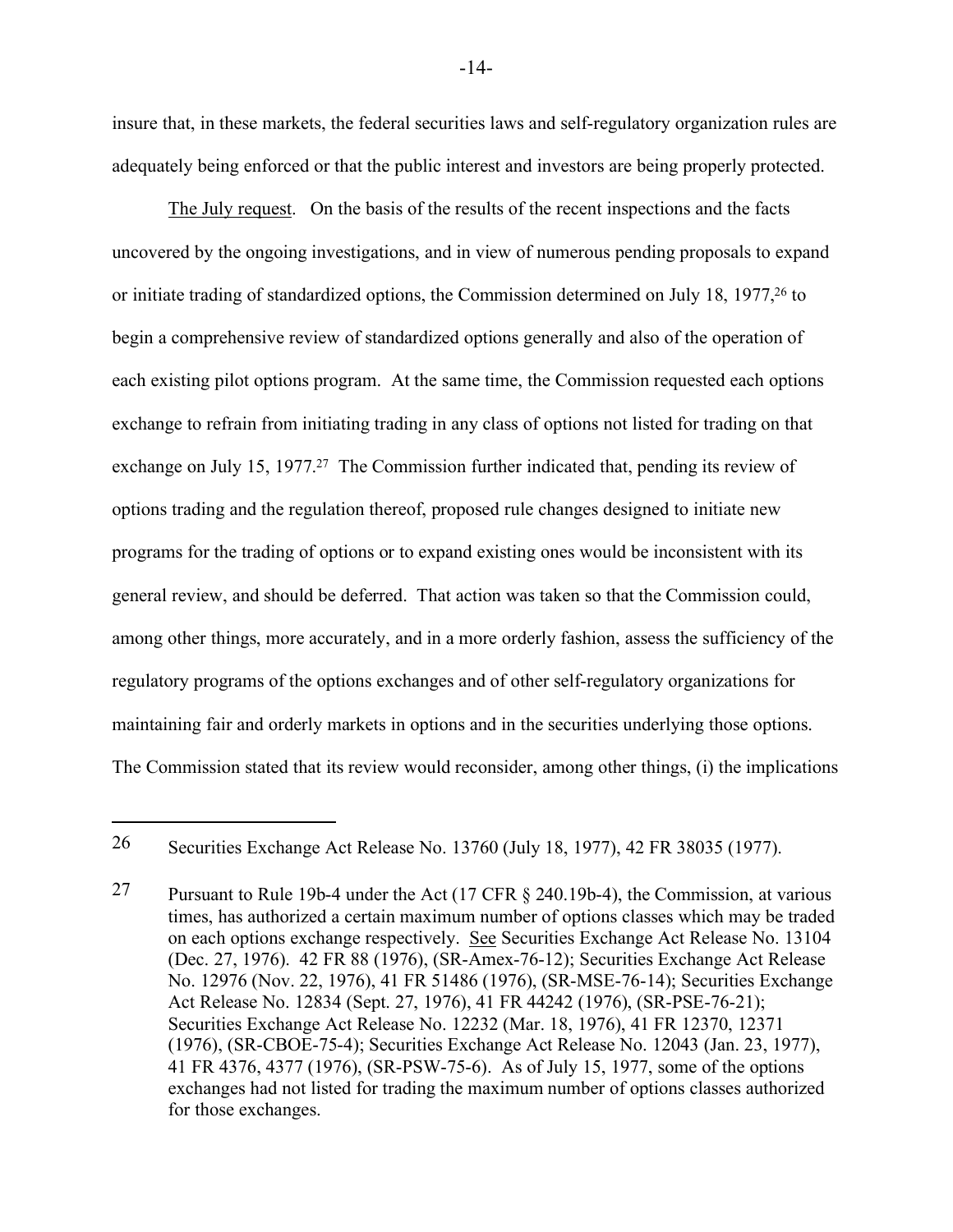insure that, in these markets, the federal securities laws and self-regulatory organization rules are adequately being enforced or that the public interest and investors are being properly protected.

The July request. On the basis of the results of the recent inspections and the facts uncovered by the ongoing investigations, and in view of numerous pending proposals to expand or initiate trading of standardized options, the Commission determined on July 18, 1977,26 to begin a comprehensive review of standardized options generally and also of the operation of each existing pilot options program. At the same time, the Commission requested each options exchange to refrain from initiating trading in any class of options not listed for trading on that exchange on July 15, 1977.<sup>27</sup> The Commission further indicated that, pending its review of options trading and the regulation thereof, proposed rule changes designed to initiate new programs for the trading of options or to expand existing ones would be inconsistent with its general review, and should be deferred. That action was taken so that the Commission could, among other things, more accurately, and in a more orderly fashion, assess the sufficiency of the regulatory programs of the options exchanges and of other self-regulatory organizations for maintaining fair and orderly markets in options and in the securities underlying those options. The Commission stated that its review would reconsider, among other things, (i) the implications

 $\overline{a}$ 

-14-

<sup>26</sup> Securities Exchange Act Release No. 13760 (July 18, 1977), 42 FR 38035 (1977).

<sup>27</sup> Pursuant to Rule 19b-4 under the Act (17 CFR § 240.19b-4), the Commission, at various times, has authorized a certain maximum number of options classes which may be traded on each options exchange respectively. See Securities Exchange Act Release No. 13104 (Dec. 27, 1976). 42 FR 88 (1976), (SR-Amex-76-12); Securities Exchange Act Release No. 12976 (Nov. 22, 1976), 41 FR 51486 (1976), (SR-MSE-76-14); Securities Exchange Act Release No. 12834 (Sept. 27, 1976), 41 FR 44242 (1976), (SR-PSE-76-21); Securities Exchange Act Release No. 12232 (Mar. 18, 1976), 41 FR 12370, 12371 (1976), (SR-CBOE-75-4); Securities Exchange Act Release No. 12043 (Jan. 23, 1977), 41 FR 4376, 4377 (1976), (SR-PSW-75-6). As of July 15, 1977, some of the options exchanges had not listed for trading the maximum number of options classes authorized for those exchanges.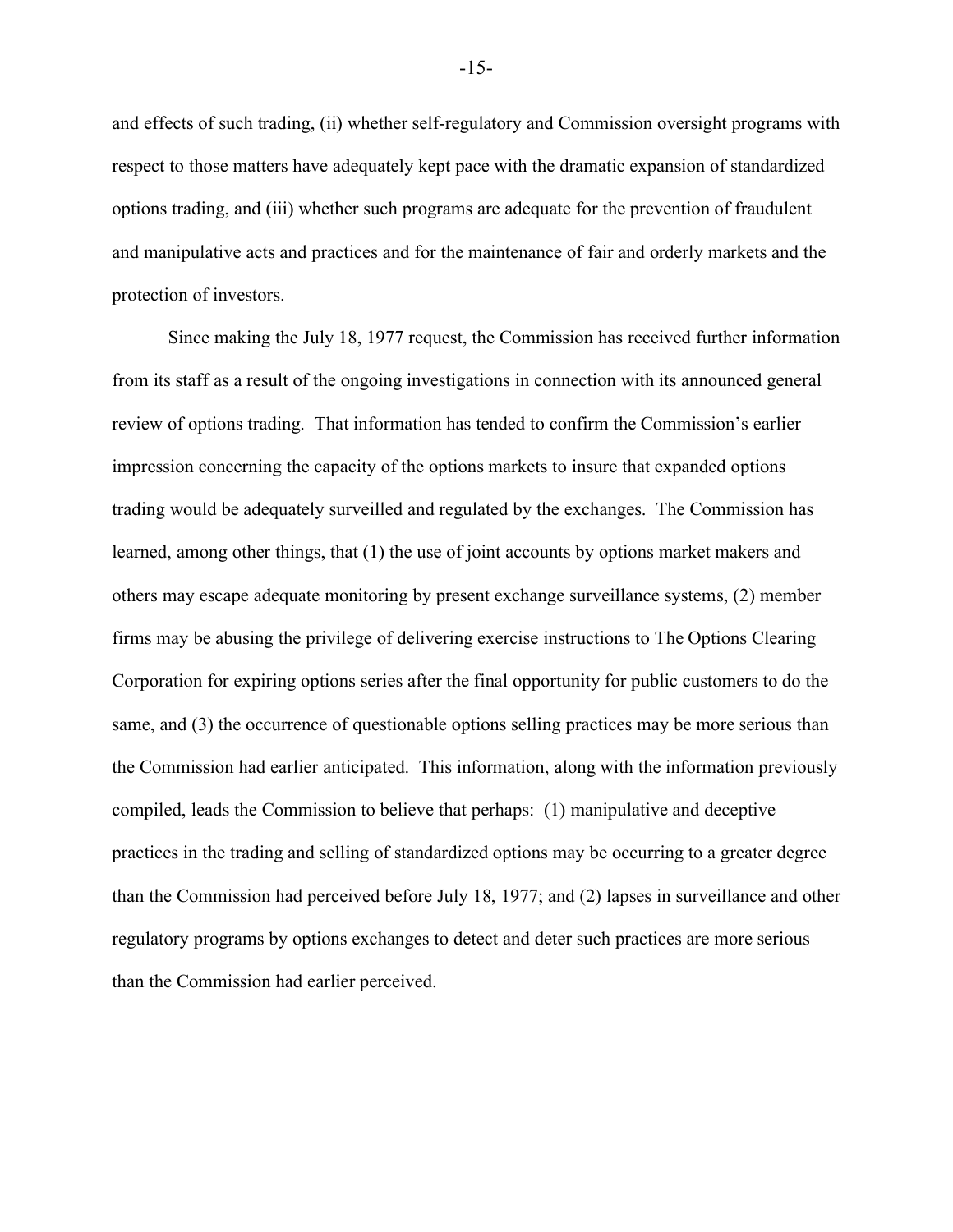and effects of such trading, (ii) whether self-regulatory and Commission oversight programs with respect to those matters have adequately kept pace with the dramatic expansion of standardized options trading, and (iii) whether such programs are adequate for the prevention of fraudulent and manipulative acts and practices and for the maintenance of fair and orderly markets and the protection of investors.

Since making the July 18, 1977 request, the Commission has received further information from its staff as a result of the ongoing investigations in connection with its announced general review of options trading. That information has tended to confirm the Commission's earlier impression concerning the capacity of the options markets to insure that expanded options trading would be adequately surveilled and regulated by the exchanges. The Commission has learned, among other things, that (1) the use of joint accounts by options market makers and others may escape adequate monitoring by present exchange surveillance systems, (2) member firms may be abusing the privilege of delivering exercise instructions to The Options Clearing Corporation for expiring options series after the final opportunity for public customers to do the same, and (3) the occurrence of questionable options selling practices may be more serious than the Commission had earlier anticipated. This information, along with the information previously compiled, leads the Commission to believe that perhaps: (1) manipulative and deceptive practices in the trading and selling of standardized options may be occurring to a greater degree than the Commission had perceived before July 18, 1977; and (2) lapses in surveillance and other regulatory programs by options exchanges to detect and deter such practices are more serious than the Commission had earlier perceived.

-15-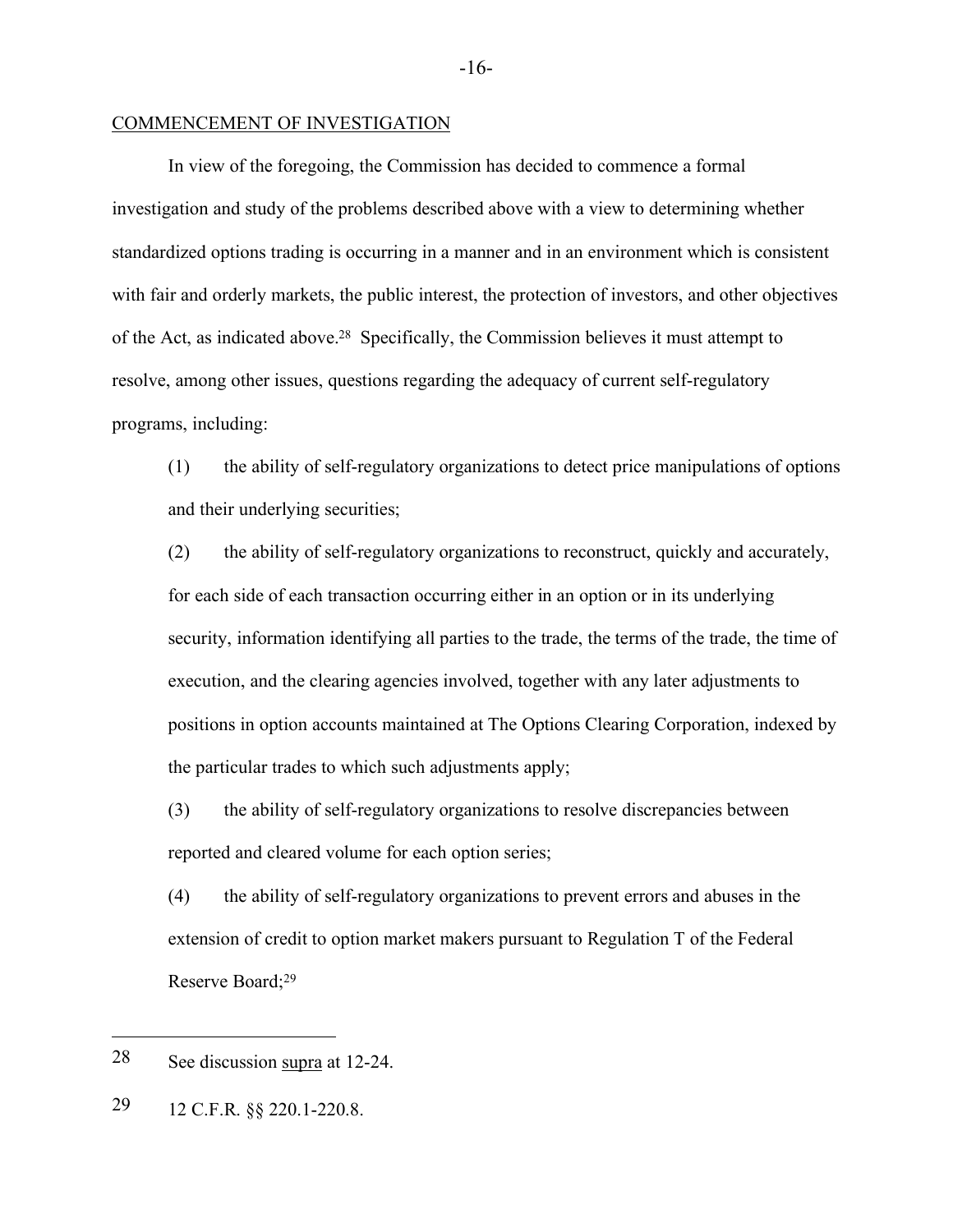### COMMENCEMENT OF INVESTIGATION

In view of the foregoing, the Commission has decided to commence a formal investigation and study of the problems described above with a view to determining whether standardized options trading is occurring in a manner and in an environment which is consistent with fair and orderly markets, the public interest, the protection of investors, and other objectives of the Act, as indicated above.28 Specifically, the Commission believes it must attempt to resolve, among other issues, questions regarding the adequacy of current self-regulatory programs, including:

(1) the ability of self-regulatory organizations to detect price manipulations of options and their underlying securities;

(2) the ability of self-regulatory organizations to reconstruct, quickly and accurately, for each side of each transaction occurring either in an option or in its underlying security, information identifying all parties to the trade, the terms of the trade, the time of execution, and the clearing agencies involved, together with any later adjustments to positions in option accounts maintained at The Options Clearing Corporation, indexed by the particular trades to which such adjustments apply;

(3) the ability of self-regulatory organizations to resolve discrepancies between reported and cleared volume for each option series;

(4) the ability of self-regulatory organizations to prevent errors and abuses in the extension of credit to option market makers pursuant to Regulation T of the Federal Reserve Board;<sup>29</sup>

 $\overline{a}$ 

-16-

<sup>28</sup> See discussion supra at 12-24.

<sup>29</sup> 12 C.F.R. §§ 220.1-220.8.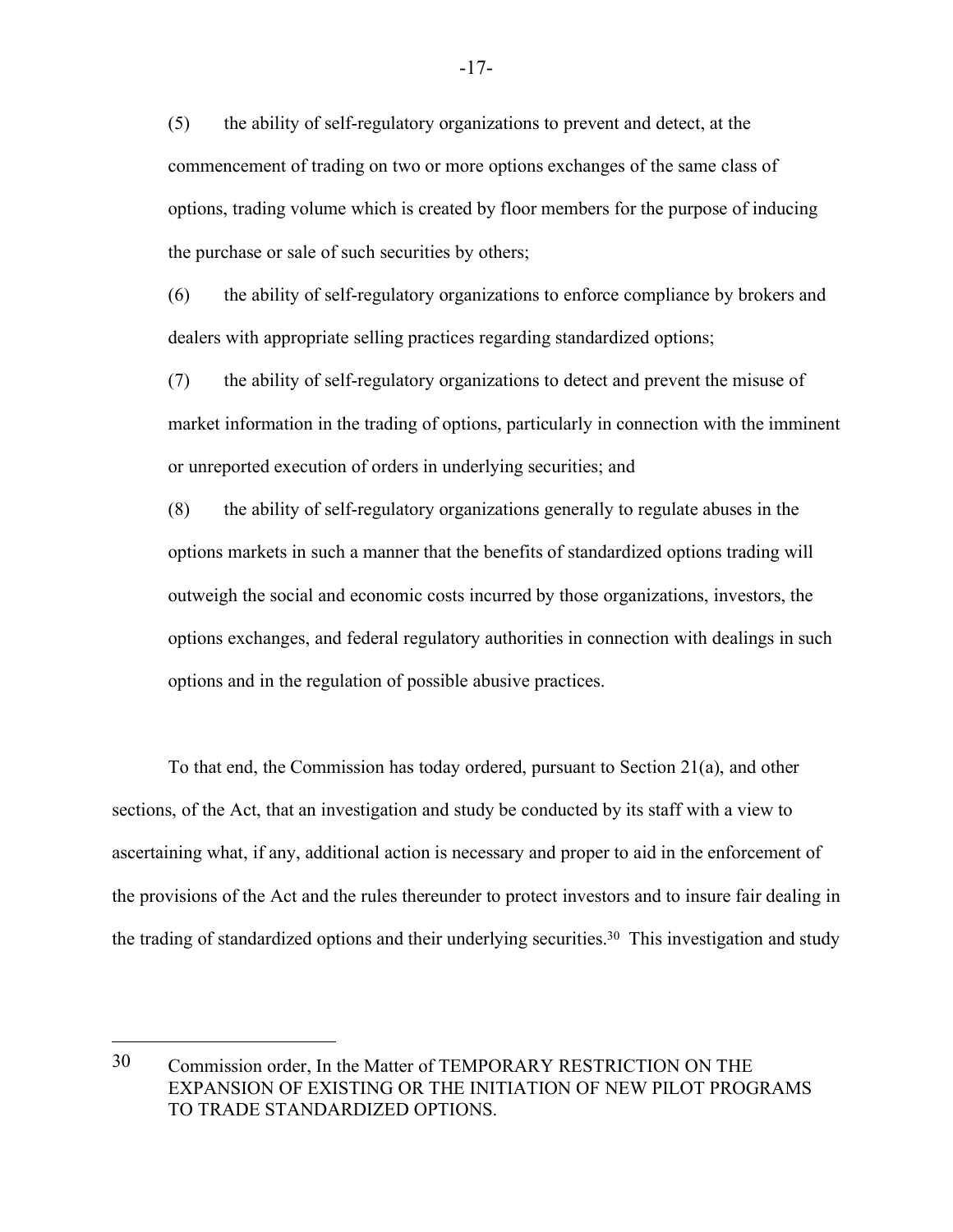(5) the ability of self-regulatory organizations to prevent and detect, at the commencement of trading on two or more options exchanges of the same class of options, trading volume which is created by floor members for the purpose of inducing the purchase or sale of such securities by others;

(6) the ability of self-regulatory organizations to enforce compliance by brokers and dealers with appropriate selling practices regarding standardized options;

(7) the ability of self-regulatory organizations to detect and prevent the misuse of market information in the trading of options, particularly in connection with the imminent or unreported execution of orders in underlying securities; and

(8) the ability of self-regulatory organizations generally to regulate abuses in the options markets in such a manner that the benefits of standardized options trading will outweigh the social and economic costs incurred by those organizations, investors, the options exchanges, and federal regulatory authorities in connection with dealings in such options and in the regulation of possible abusive practices.

To that end, the Commission has today ordered, pursuant to Section 21(a), and other sections, of the Act, that an investigation and study be conducted by its staff with a view to ascertaining what, if any, additional action is necessary and proper to aid in the enforcement of the provisions of the Act and the rules thereunder to protect investors and to insure fair dealing in the trading of standardized options and their underlying securities.30 This investigation and study

<sup>30</sup> Commission order, In the Matter of TEMPORARY RESTRICTION ON THE EXPANSION OF EXISTING OR THE INITIATION OF NEW PILOT PROGRAMS TO TRADE STANDARDIZED OPTIONS.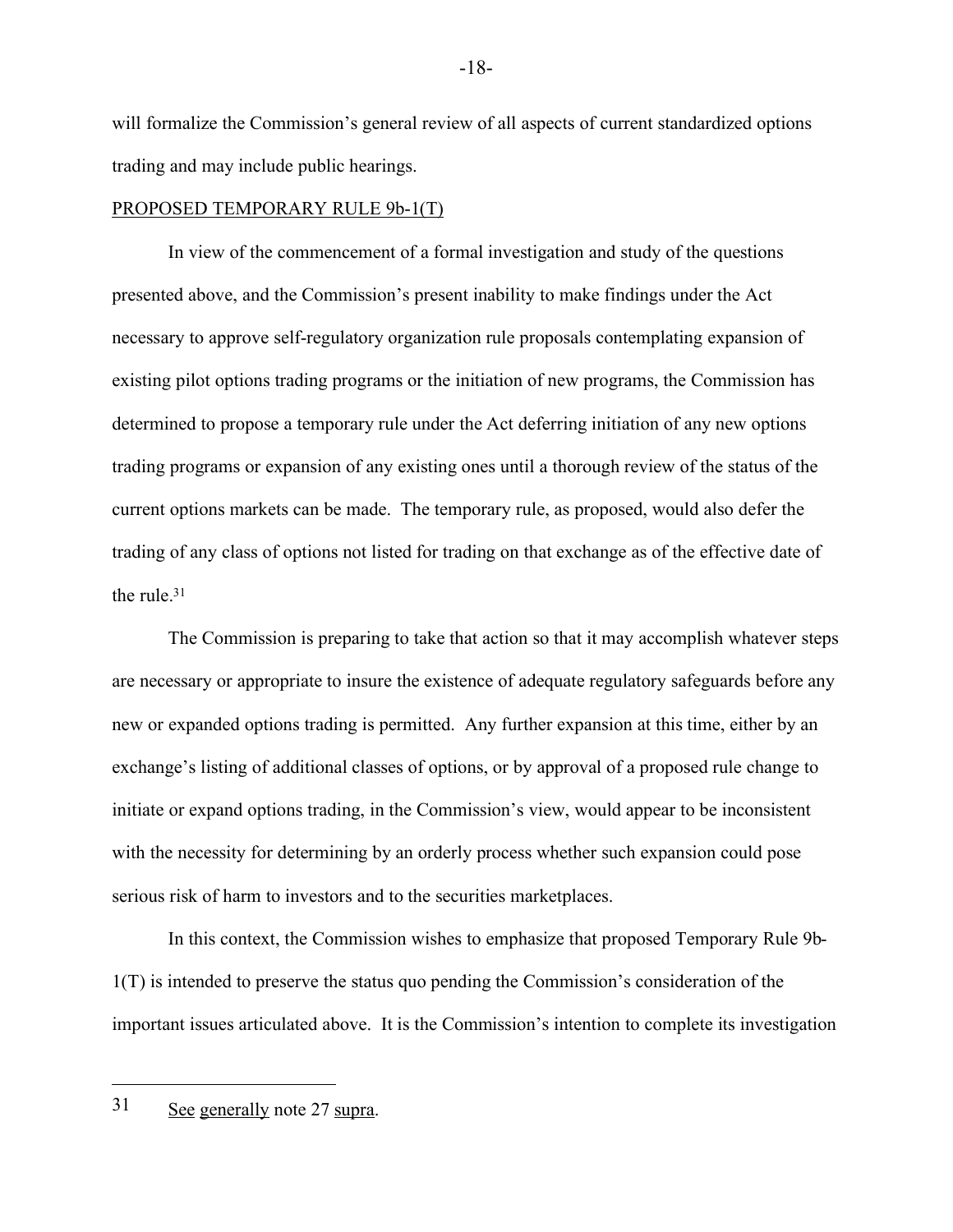will formalize the Commission's general review of all aspects of current standardized options trading and may include public hearings.

## PROPOSED TEMPORARY RULE 9b-1(T)

In view of the commencement of a formal investigation and study of the questions presented above, and the Commission's present inability to make findings under the Act necessary to approve self-regulatory organization rule proposals contemplating expansion of existing pilot options trading programs or the initiation of new programs, the Commission has determined to propose a temporary rule under the Act deferring initiation of any new options trading programs or expansion of any existing ones until a thorough review of the status of the current options markets can be made. The temporary rule, as proposed, would also defer the trading of any class of options not listed for trading on that exchange as of the effective date of the rule.31

The Commission is preparing to take that action so that it may accomplish whatever steps are necessary or appropriate to insure the existence of adequate regulatory safeguards before any new or expanded options trading is permitted. Any further expansion at this time, either by an exchange's listing of additional classes of options, or by approval of a proposed rule change to initiate or expand options trading, in the Commission's view, would appear to be inconsistent with the necessity for determining by an orderly process whether such expansion could pose serious risk of harm to investors and to the securities marketplaces.

In this context, the Commission wishes to emphasize that proposed Temporary Rule 9b-1(T) is intended to preserve the status quo pending the Commission's consideration of the important issues articulated above. It is the Commission's intention to complete its investigation

<sup>31</sup> See generally note 27 supra.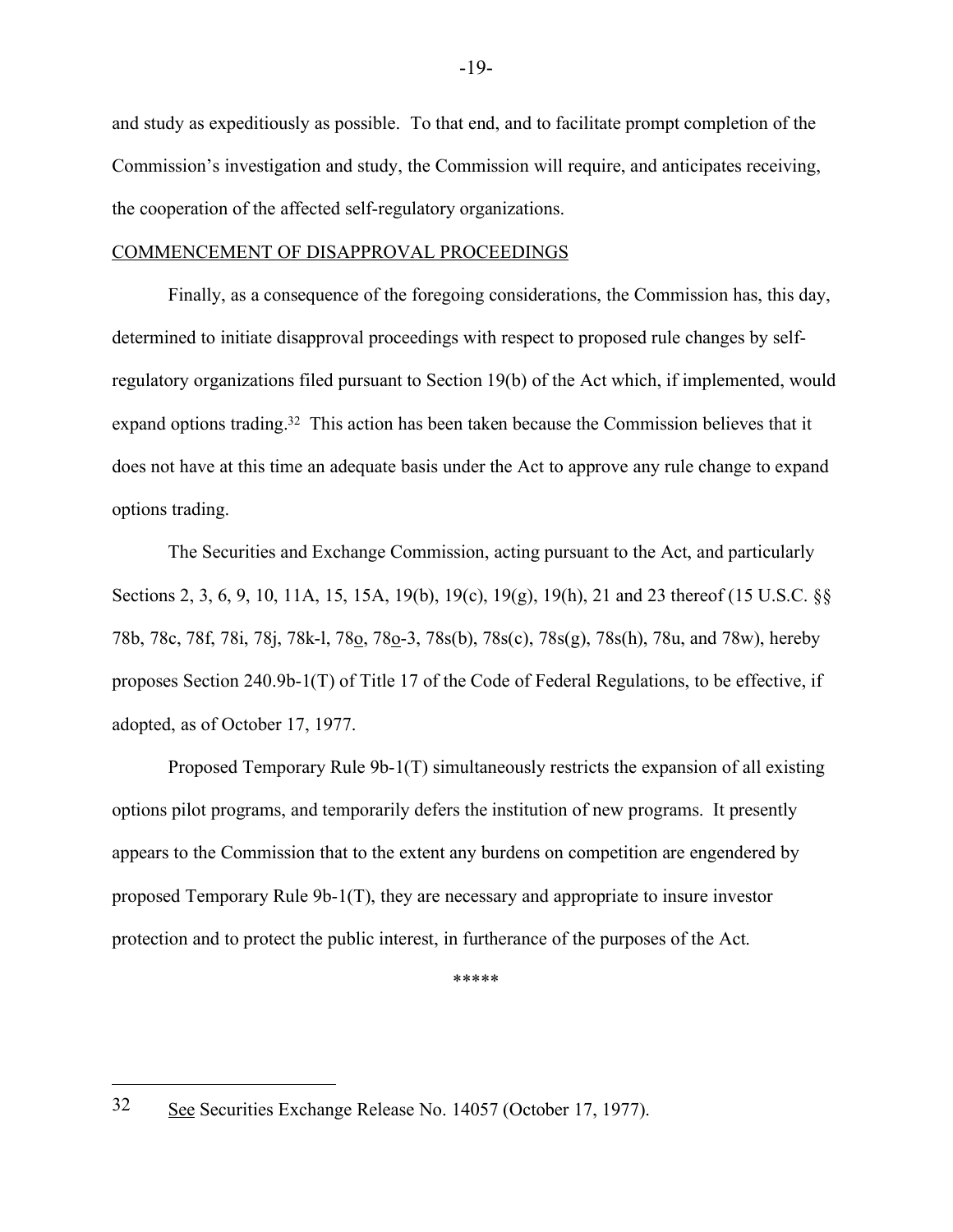and study as expeditiously as possible. To that end, and to facilitate prompt completion of the Commission's investigation and study, the Commission will require, and anticipates receiving, the cooperation of the affected self-regulatory organizations.

## COMMENCEMENT OF DISAPPROVAL PROCEEDINGS

Finally, as a consequence of the foregoing considerations, the Commission has, this day, determined to initiate disapproval proceedings with respect to proposed rule changes by selfregulatory organizations filed pursuant to Section 19(b) of the Act which, if implemented, would expand options trading.<sup>32</sup> This action has been taken because the Commission believes that it does not have at this time an adequate basis under the Act to approve any rule change to expand options trading.

The Securities and Exchange Commission, acting pursuant to the Act, and particularly Sections 2, 3, 6, 9, 10, 11A, 15, 15A, 19(b), 19(c), 19(g), 19(h), 21 and 23 thereof (15 U.S.C. §§ 78b, 78c, 78f, 78i, 78j, 78k-l, 78o, 78o-3, 78s(b), 78s(c), 78s(g), 78s(h), 78u, and 78w), hereby proposes Section 240.9b-1(T) of Title 17 of the Code of Federal Regulations, to be effective, if adopted, as of October 17, 1977.

Proposed Temporary Rule 9b-1(T) simultaneously restricts the expansion of all existing options pilot programs, and temporarily defers the institution of new programs. It presently appears to the Commission that to the extent any burdens on competition are engendered by proposed Temporary Rule 9b-1(T), they are necessary and appropriate to insure investor protection and to protect the public interest, in furtherance of the purposes of the Act.

\*\*\*\*\*

<sup>32</sup> See Securities Exchange Release No. 14057 (October 17, 1977).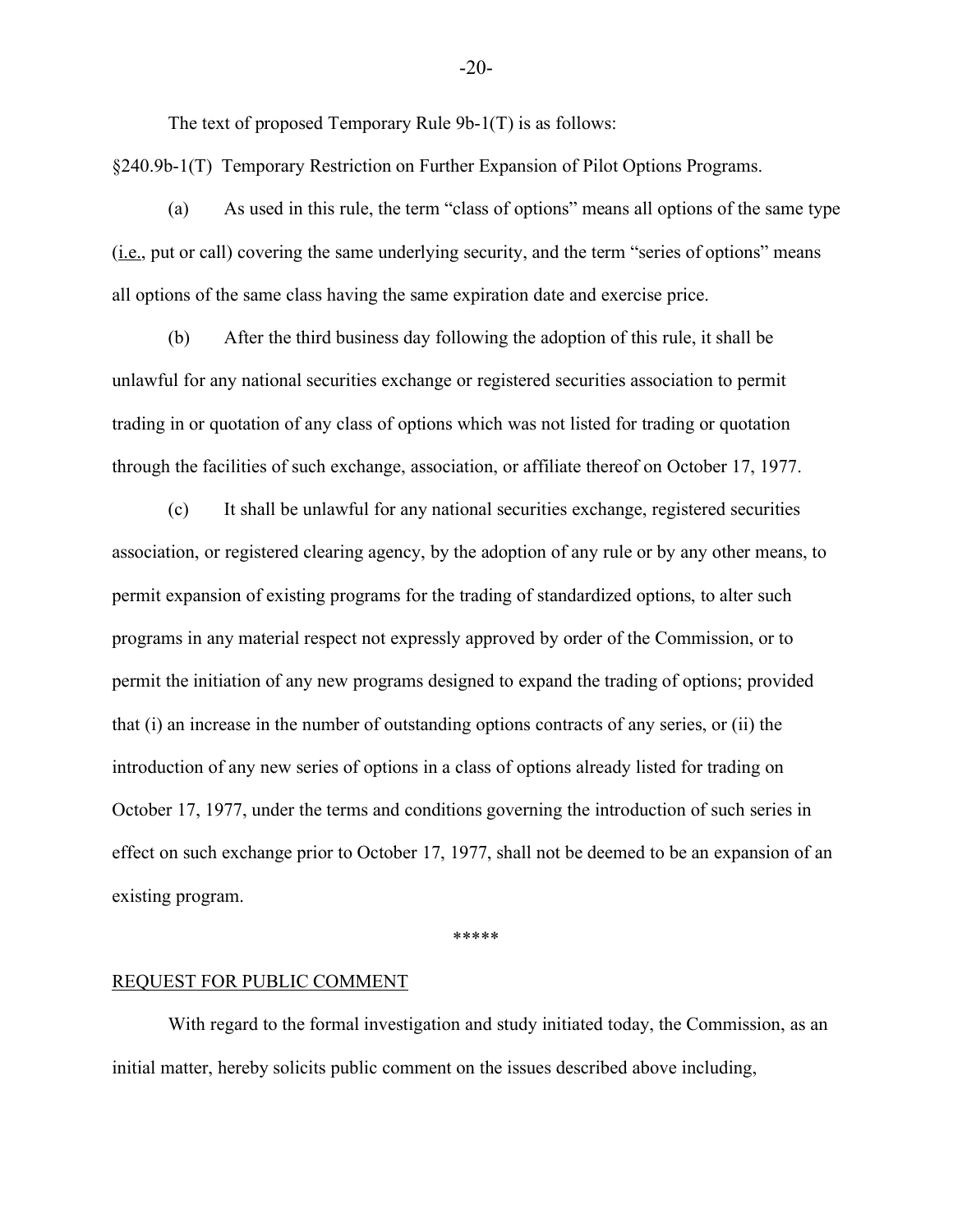The text of proposed Temporary Rule 9b-1(T) is as follows:

§240.9b-1(T) Temporary Restriction on Further Expansion of Pilot Options Programs.

(a) As used in this rule, the term "class of options" means all options of the same type  $(i.e., put or call) covering the same underlying security, and the term "series of options" means$ all options of the same class having the same expiration date and exercise price.

(b) After the third business day following the adoption of this rule, it shall be unlawful for any national securities exchange or registered securities association to permit trading in or quotation of any class of options which was not listed for trading or quotation through the facilities of such exchange, association, or affiliate thereof on October 17, 1977.

(c) It shall be unlawful for any national securities exchange, registered securities association, or registered clearing agency, by the adoption of any rule or by any other means, to permit expansion of existing programs for the trading of standardized options, to alter such programs in any material respect not expressly approved by order of the Commission, or to permit the initiation of any new programs designed to expand the trading of options; provided that (i) an increase in the number of outstanding options contracts of any series, or (ii) the introduction of any new series of options in a class of options already listed for trading on October 17, 1977, under the terms and conditions governing the introduction of such series in effect on such exchange prior to October 17, 1977, shall not be deemed to be an expansion of an existing program.

\*\*\*\*\*

#### REQUEST FOR PUBLIC COMMENT

With regard to the formal investigation and study initiated today, the Commission, as an initial matter, hereby solicits public comment on the issues described above including,

-20-